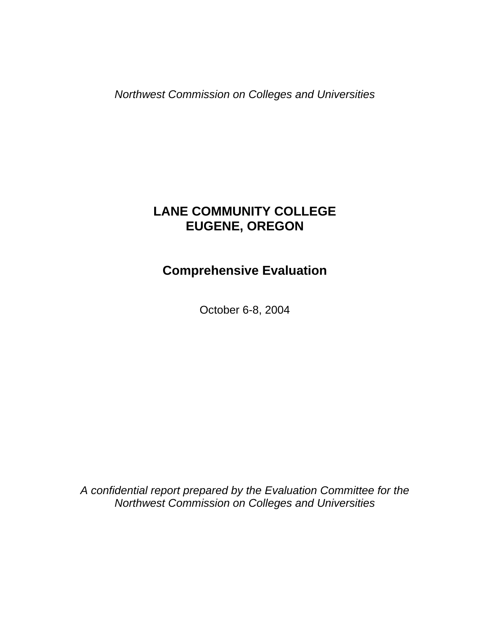*Northwest Commission on Colleges and Universities* 

# **LANE COMMUNITY COLLEGE EUGENE, OREGON**

# **Comprehensive Evaluation**

October 6-8, 2004

*A confidential report prepared by the Evaluation Committee for the Northwest Commission on Colleges and Universities*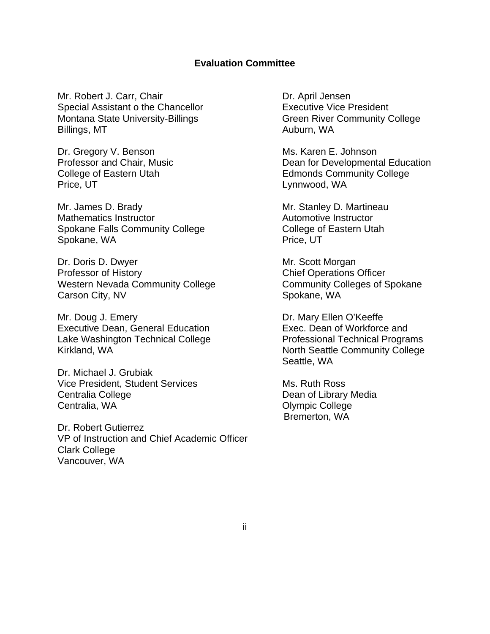## **Evaluation Committee**

Mr. Robert J. Carr, Chair Dr. April Jensen Special Assistant o the Chancellor **Executive Vice President** Montana State University-Billings **Green River Community College** Billings, MT Auburn, WA

Dr. Gregory V. Benson Ms. Karen E. Johnson Price, UT Lynnwood, WA

Mr. James D. Brady Mr. Stanley D. Martineau Mathematics Instructor Mathematics Instructor Automotive Instructor Spokane Falls Community College College College of Eastern Utah Spokane, WA Price, UT

Dr. Doris D. Dwyer Mr. Scott Morgan **Professor of History Chief Operations Officer** Western Nevada Community College Community Colleges of Spokane Carson City, NV Spokane, WA

Mr. Doug J. Emery **Dr. Mary Ellen O'Keeffe** Executive Dean, General Education Exec. Dean of Workforce and Lake Washington Technical College **Professional Technical Programs** Kirkland, WA North Seattle Community College

Dr. Michael J. Grubiak Vice President, Student Services Ms. Ruth Ross Centralia College Dean of Library Media Centralia, WA Centralia, WA Centralia, WA Centralia, WA Centralia, WA Centralia, WA Centralia, WA C

Dr. Robert Gutierrez VP of Instruction and Chief Academic Officer Clark College Vancouver, WA

Professor and Chair, Music **Dean for Developmental Education** College of Eastern Utah **Edmonds Community College** 

Seattle, WA

Bremerton, WA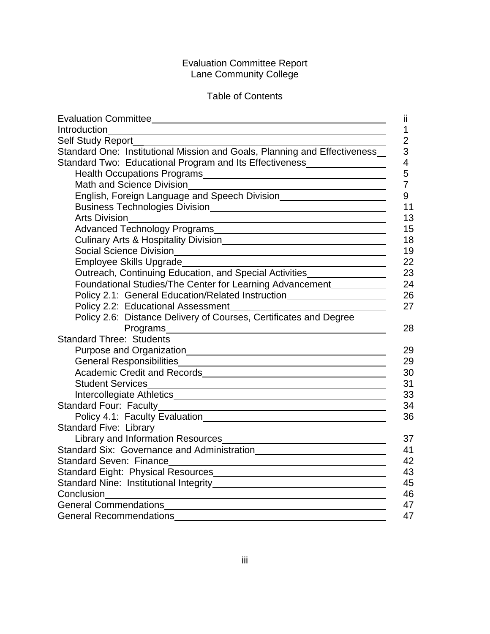#### Evaluation Committee Report Lane Community College

# Table of Contents

| ji                                                                                                                                                                                                                                   |  |
|--------------------------------------------------------------------------------------------------------------------------------------------------------------------------------------------------------------------------------------|--|
| Introduction<br>1                                                                                                                                                                                                                    |  |
| $\overline{2}$<br>Self Study Report_                                                                                                                                                                                                 |  |
| Standard One: Institutional Mission and Goals, Planning and Effectiveness_<br>3                                                                                                                                                      |  |
| Standard Two: Educational Program and Its Effectiveness_________________<br>$\overline{4}$                                                                                                                                           |  |
| 5                                                                                                                                                                                                                                    |  |
| $\overline{7}$<br>Math and Science Division<br><u> 1989 - Johann Stein, marwolaethau a bhann an t-Amhainn an t-Amhainn an t-Amhainn an t-Amhainn an t-Amhainn an</u>                                                                 |  |
| 9                                                                                                                                                                                                                                    |  |
| 11                                                                                                                                                                                                                                   |  |
| 13<br><b>Arts Division</b><br><u> 1989 - Johann Stein, mars an deutscher Stein und der Stein und der Stein und der Stein und der Stein und der</u>                                                                                   |  |
| 15                                                                                                                                                                                                                                   |  |
| 18                                                                                                                                                                                                                                   |  |
| 19                                                                                                                                                                                                                                   |  |
| 22<br>Employee Skills Upgrade<br><u> 1989 - Johann Barn, mars an t-Amerikaansk kommunist (</u>                                                                                                                                       |  |
| Outreach, Continuing Education, and Special Activities_________________<br>23                                                                                                                                                        |  |
| Foundational Studies/The Center for Learning Advancement<br>24                                                                                                                                                                       |  |
| 26<br>Policy 2.1: General Education/Related Instruction_________________________                                                                                                                                                     |  |
| 27                                                                                                                                                                                                                                   |  |
| Policy 2.6: Distance Delivery of Courses, Certificates and Degree                                                                                                                                                                    |  |
| Programs experience and the contract of the contract of the contract of the contract of the contract of the contract of the contract of the contract of the contract of the contract of the contract of the contract of the co<br>28 |  |
| <b>Standard Three: Students</b>                                                                                                                                                                                                      |  |
| 29                                                                                                                                                                                                                                   |  |
| 29                                                                                                                                                                                                                                   |  |
| Academic Credit and Records<br><u> and Credit and Records</u><br>30                                                                                                                                                                  |  |
| 31                                                                                                                                                                                                                                   |  |
| 33                                                                                                                                                                                                                                   |  |
| 34                                                                                                                                                                                                                                   |  |
| 36                                                                                                                                                                                                                                   |  |
| <b>Standard Five: Library</b>                                                                                                                                                                                                        |  |
| 37                                                                                                                                                                                                                                   |  |
| 41                                                                                                                                                                                                                                   |  |
| 42                                                                                                                                                                                                                                   |  |
| 43                                                                                                                                                                                                                                   |  |
| 45                                                                                                                                                                                                                                   |  |
| 46                                                                                                                                                                                                                                   |  |
| General Commendations<br><u> Commendations</u><br>47                                                                                                                                                                                 |  |
| 47<br><b>General Recommendations</b>                                                                                                                                                                                                 |  |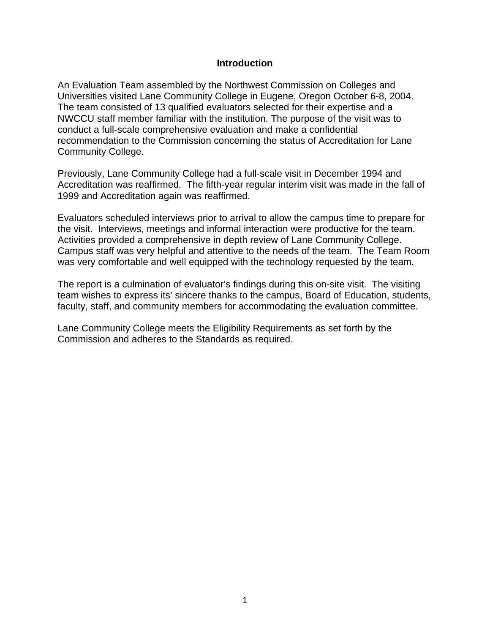#### **Introduction**

An Evaluation Team assembled by the Northwest Commission on Colleges and Universities visited Lane Community College in Eugene, Oregon October 6-8, 2004. The team consisted of 13 qualified evaluators selected for their expertise and a NWCCU staff member familiar with the institution. The purpose of the visit was to conduct a full-scale comprehensive evaluation and make a confidential recommendation to the Commission concerning the status of Accreditation for Lane Community College.

Previously, Lane Community College had a full-scale visit in December 1994 and Accreditation was reaffirmed. The fifth-year regular interim visit was made in the fall of 1999 and Accreditation again was reaffirmed.

Evaluators scheduled interviews prior to arrival to allow the campus time to prepare for the visit. Interviews, meetings and informal interaction were productive for the team. Activities provided a comprehensive in depth review of Lane Community College. Campus staff was very helpful and attentive to the needs of the team. The Team Room was very comfortable and well equipped with the technology requested by the team.

The report is a culmination of evaluator's findings during this on-site visit. The visiting team wishes to express its' sincere thanks to the campus, Board of Education, students, faculty, staff, and community members for accommodating the evaluation committee.

Lane Community College meets the Eligibility Requirements as set forth by the Commission and adheres to the Standards as required.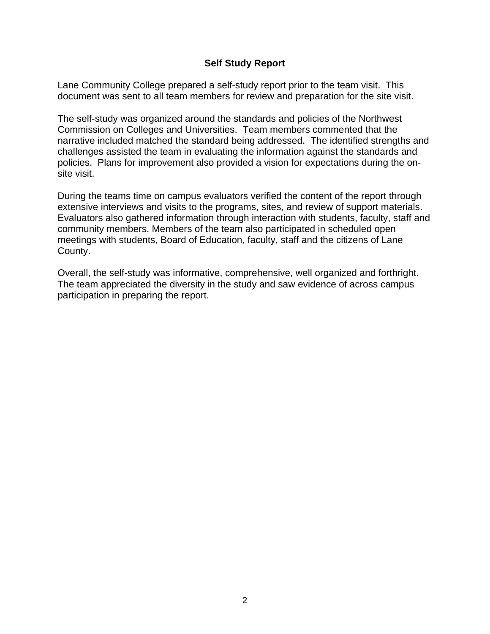## **Self Study Report**

Lane Community College prepared a self-study report prior to the team visit. This document was sent to all team members for review and preparation for the site visit.

The self-study was organized around the standards and policies of the Northwest Commission on Colleges and Universities. Team members commented that the narrative included matched the standard being addressed. The identified strengths and challenges assisted the team in evaluating the information against the standards and policies. Plans for improvement also provided a vision for expectations during the onsite visit.

During the teams time on campus evaluators verified the content of the report through extensive interviews and visits to the programs, sites, and review of support materials. Evaluators also gathered information through interaction with students, faculty, staff and community members. Members of the team also participated in scheduled open meetings with students, Board of Education, faculty, staff and the citizens of Lane County.

Overall, the self-study was informative, comprehensive, well organized and forthright. The team appreciated the diversity in the study and saw evidence of across campus participation in preparing the report.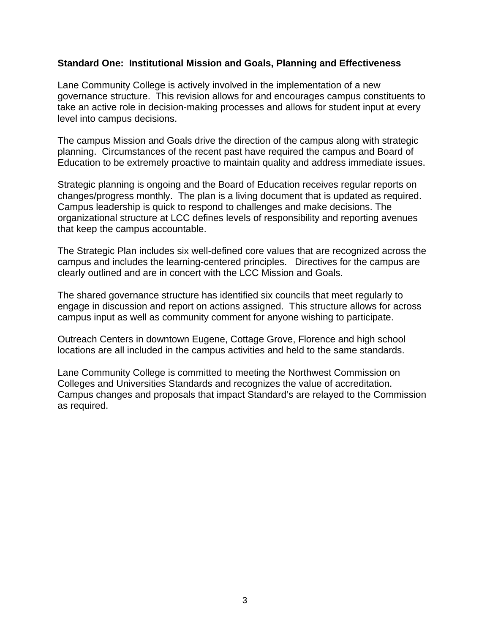#### **Standard One: Institutional Mission and Goals, Planning and Effectiveness**

Lane Community College is actively involved in the implementation of a new governance structure. This revision allows for and encourages campus constituents to take an active role in decision-making processes and allows for student input at every level into campus decisions.

The campus Mission and Goals drive the direction of the campus along with strategic planning. Circumstances of the recent past have required the campus and Board of Education to be extremely proactive to maintain quality and address immediate issues.

Strategic planning is ongoing and the Board of Education receives regular reports on changes/progress monthly. The plan is a living document that is updated as required. Campus leadership is quick to respond to challenges and make decisions. The organizational structure at LCC defines levels of responsibility and reporting avenues that keep the campus accountable.

The Strategic Plan includes six well-defined core values that are recognized across the campus and includes the learning-centered principles. Directives for the campus are clearly outlined and are in concert with the LCC Mission and Goals.

The shared governance structure has identified six councils that meet regularly to engage in discussion and report on actions assigned. This structure allows for across campus input as well as community comment for anyone wishing to participate.

Outreach Centers in downtown Eugene, Cottage Grove, Florence and high school locations are all included in the campus activities and held to the same standards.

Lane Community College is committed to meeting the Northwest Commission on Colleges and Universities Standards and recognizes the value of accreditation. Campus changes and proposals that impact Standard's are relayed to the Commission as required.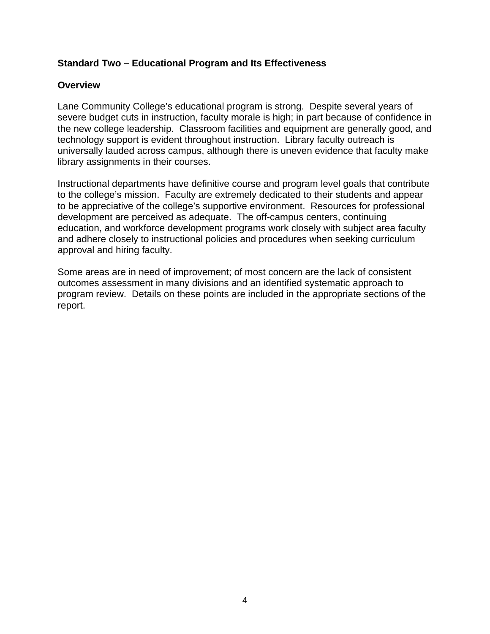## **Standard Two – Educational Program and Its Effectiveness**

## **Overview**

Lane Community College's educational program is strong. Despite several years of severe budget cuts in instruction, faculty morale is high; in part because of confidence in the new college leadership. Classroom facilities and equipment are generally good, and technology support is evident throughout instruction. Library faculty outreach is universally lauded across campus, although there is uneven evidence that faculty make library assignments in their courses.

Instructional departments have definitive course and program level goals that contribute to the college's mission. Faculty are extremely dedicated to their students and appear to be appreciative of the college's supportive environment. Resources for professional development are perceived as adequate. The off-campus centers, continuing education, and workforce development programs work closely with subject area faculty and adhere closely to instructional policies and procedures when seeking curriculum approval and hiring faculty.

Some areas are in need of improvement; of most concern are the lack of consistent outcomes assessment in many divisions and an identified systematic approach to program review. Details on these points are included in the appropriate sections of the report.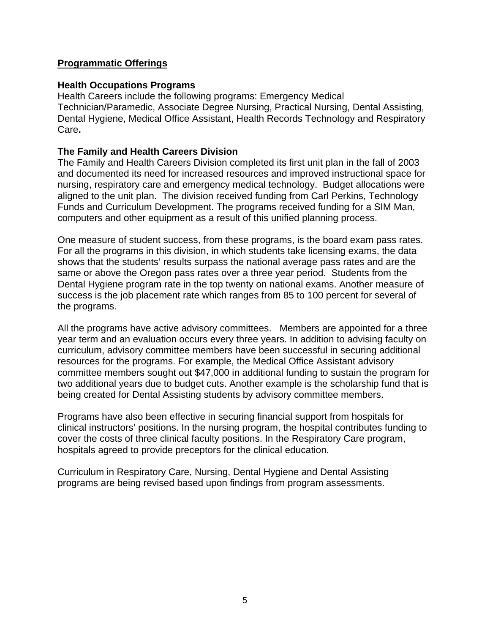## **Programmatic Offerings**

## **Health Occupations Programs**

Health Careers include the following programs: Emergency Medical Technician/Paramedic, Associate Degree Nursing, Practical Nursing, Dental Assisting, Dental Hygiene, Medical Office Assistant, Health Records Technology and Respiratory Care**.** 

# **The Family and Health Careers Division**

The Family and Health Careers Division completed its first unit plan in the fall of 2003 and documented its need for increased resources and improved instructional space for nursing, respiratory care and emergency medical technology. Budget allocations were aligned to the unit plan. The division received funding from Carl Perkins, Technology Funds and Curriculum Development. The programs received funding for a SIM Man, computers and other equipment as a result of this unified planning process.

One measure of student success, from these programs, is the board exam pass rates. For all the programs in this division, in which students take licensing exams, the data shows that the students' results surpass the national average pass rates and are the same or above the Oregon pass rates over a three year period. Students from the Dental Hygiene program rate in the top twenty on national exams. Another measure of success is the job placement rate which ranges from 85 to 100 percent for several of the programs.

All the programs have active advisory committees. Members are appointed for a three year term and an evaluation occurs every three years. In addition to advising faculty on curriculum, advisory committee members have been successful in securing additional resources for the programs. For example, the Medical Office Assistant advisory committee members sought out \$47,000 in additional funding to sustain the program for two additional years due to budget cuts. Another example is the scholarship fund that is being created for Dental Assisting students by advisory committee members.

Programs have also been effective in securing financial support from hospitals for clinical instructors' positions. In the nursing program, the hospital contributes funding to cover the costs of three clinical faculty positions. In the Respiratory Care program, hospitals agreed to provide preceptors for the clinical education.

Curriculum in Respiratory Care, Nursing, Dental Hygiene and Dental Assisting programs are being revised based upon findings from program assessments.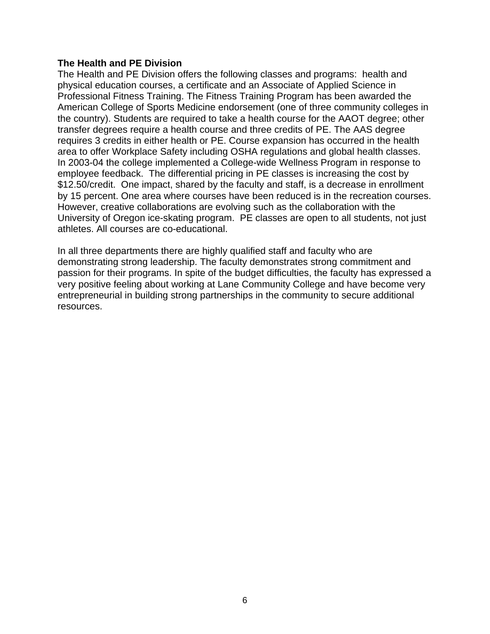#### **The Health and PE Division**

The Health and PE Division offers the following classes and programs: health and physical education courses, a certificate and an Associate of Applied Science in Professional Fitness Training. The Fitness Training Program has been awarded the American College of Sports Medicine endorsement (one of three community colleges in the country). Students are required to take a health course for the AAOT degree; other transfer degrees require a health course and three credits of PE. The AAS degree requires 3 credits in either health or PE. Course expansion has occurred in the health area to offer Workplace Safety including OSHA regulations and global health classes. In 2003-04 the college implemented a College-wide Wellness Program in response to employee feedback. The differential pricing in PE classes is increasing the cost by \$12.50/credit. One impact, shared by the faculty and staff, is a decrease in enrollment by 15 percent. One area where courses have been reduced is in the recreation courses. However, creative collaborations are evolving such as the collaboration with the University of Oregon ice-skating program. PE classes are open to all students, not just athletes. All courses are co-educational.

In all three departments there are highly qualified staff and faculty who are demonstrating strong leadership. The faculty demonstrates strong commitment and passion for their programs. In spite of the budget difficulties, the faculty has expressed a very positive feeling about working at Lane Community College and have become very entrepreneurial in building strong partnerships in the community to secure additional resources.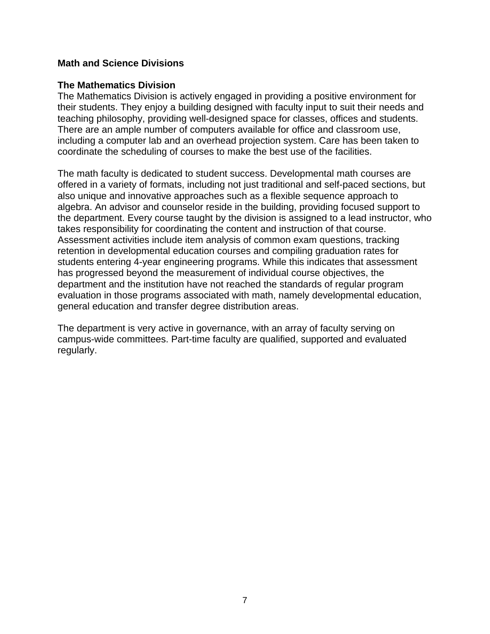#### **Math and Science Divisions**

#### **The Mathematics Division**

The Mathematics Division is actively engaged in providing a positive environment for their students. They enjoy a building designed with faculty input to suit their needs and teaching philosophy, providing well-designed space for classes, offices and students. There are an ample number of computers available for office and classroom use, including a computer lab and an overhead projection system. Care has been taken to coordinate the scheduling of courses to make the best use of the facilities.

The math faculty is dedicated to student success. Developmental math courses are offered in a variety of formats, including not just traditional and self-paced sections, but also unique and innovative approaches such as a flexible sequence approach to algebra. An advisor and counselor reside in the building, providing focused support to the department. Every course taught by the division is assigned to a lead instructor, who takes responsibility for coordinating the content and instruction of that course. Assessment activities include item analysis of common exam questions, tracking retention in developmental education courses and compiling graduation rates for students entering 4-year engineering programs. While this indicates that assessment has progressed beyond the measurement of individual course objectives, the department and the institution have not reached the standards of regular program evaluation in those programs associated with math, namely developmental education, general education and transfer degree distribution areas.

The department is very active in governance, with an array of faculty serving on campus-wide committees. Part-time faculty are qualified, supported and evaluated regularly.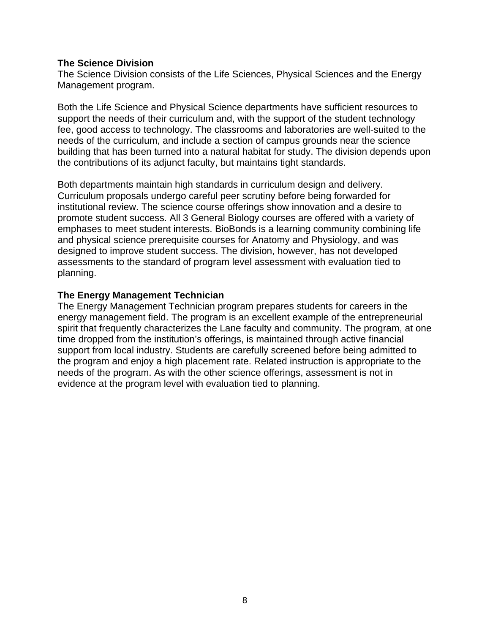#### **The Science Division**

The Science Division consists of the Life Sciences, Physical Sciences and the Energy Management program.

Both the Life Science and Physical Science departments have sufficient resources to support the needs of their curriculum and, with the support of the student technology fee, good access to technology. The classrooms and laboratories are well-suited to the needs of the curriculum, and include a section of campus grounds near the science building that has been turned into a natural habitat for study. The division depends upon the contributions of its adjunct faculty, but maintains tight standards.

Both departments maintain high standards in curriculum design and delivery. Curriculum proposals undergo careful peer scrutiny before being forwarded for institutional review. The science course offerings show innovation and a desire to promote student success. All 3 General Biology courses are offered with a variety of emphases to meet student interests. BioBonds is a learning community combining life and physical science prerequisite courses for Anatomy and Physiology, and was designed to improve student success. The division, however, has not developed assessments to the standard of program level assessment with evaluation tied to planning.

## **The Energy Management Technician**

The Energy Management Technician program prepares students for careers in the energy management field. The program is an excellent example of the entrepreneurial spirit that frequently characterizes the Lane faculty and community. The program, at one time dropped from the institution's offerings, is maintained through active financial support from local industry. Students are carefully screened before being admitted to the program and enjoy a high placement rate. Related instruction is appropriate to the needs of the program. As with the other science offerings, assessment is not in evidence at the program level with evaluation tied to planning.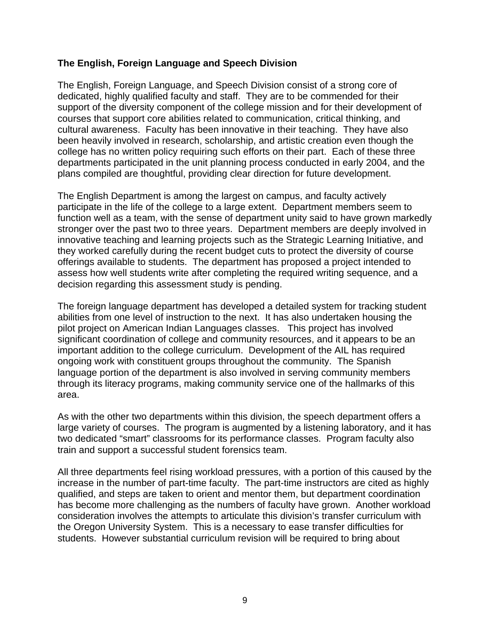## **The English, Foreign Language and Speech Division**

The English, Foreign Language, and Speech Division consist of a strong core of dedicated, highly qualified faculty and staff. They are to be commended for their support of the diversity component of the college mission and for their development of courses that support core abilities related to communication, critical thinking, and cultural awareness. Faculty has been innovative in their teaching. They have also been heavily involved in research, scholarship, and artistic creation even though the college has no written policy requiring such efforts on their part. Each of these three departments participated in the unit planning process conducted in early 2004, and the plans compiled are thoughtful, providing clear direction for future development.

The English Department is among the largest on campus, and faculty actively participate in the life of the college to a large extent. Department members seem to function well as a team, with the sense of department unity said to have grown markedly stronger over the past two to three years. Department members are deeply involved in innovative teaching and learning projects such as the Strategic Learning Initiative, and they worked carefully during the recent budget cuts to protect the diversity of course offerings available to students. The department has proposed a project intended to assess how well students write after completing the required writing sequence, and a decision regarding this assessment study is pending.

The foreign language department has developed a detailed system for tracking student abilities from one level of instruction to the next. It has also undertaken housing the pilot project on American Indian Languages classes. This project has involved significant coordination of college and community resources, and it appears to be an important addition to the college curriculum. Development of the AIL has required ongoing work with constituent groups throughout the community. The Spanish language portion of the department is also involved in serving community members through its literacy programs, making community service one of the hallmarks of this area.

As with the other two departments within this division, the speech department offers a large variety of courses. The program is augmented by a listening laboratory, and it has two dedicated "smart" classrooms for its performance classes. Program faculty also train and support a successful student forensics team.

All three departments feel rising workload pressures, with a portion of this caused by the increase in the number of part-time faculty. The part-time instructors are cited as highly qualified, and steps are taken to orient and mentor them, but department coordination has become more challenging as the numbers of faculty have grown. Another workload consideration involves the attempts to articulate this division's transfer curriculum with the Oregon University System. This is a necessary to ease transfer difficulties for students. However substantial curriculum revision will be required to bring about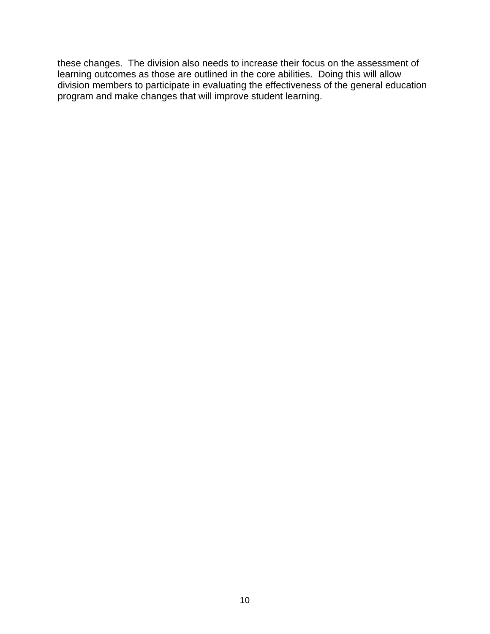these changes. The division also needs to increase their focus on the assessment of learning outcomes as those are outlined in the core abilities. Doing this will allow division members to participate in evaluating the effectiveness of the general education program and make changes that will improve student learning.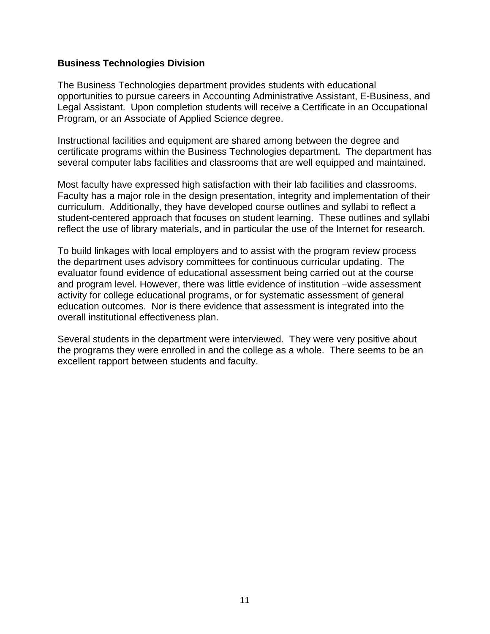#### **Business Technologies Division**

The Business Technologies department provides students with educational opportunities to pursue careers in Accounting Administrative Assistant, E-Business, and Legal Assistant. Upon completion students will receive a Certificate in an Occupational Program, or an Associate of Applied Science degree.

Instructional facilities and equipment are shared among between the degree and certificate programs within the Business Technologies department. The department has several computer labs facilities and classrooms that are well equipped and maintained.

Most faculty have expressed high satisfaction with their lab facilities and classrooms. Faculty has a major role in the design presentation, integrity and implementation of their curriculum. Additionally, they have developed course outlines and syllabi to reflect a student-centered approach that focuses on student learning. These outlines and syllabi reflect the use of library materials, and in particular the use of the Internet for research.

To build linkages with local employers and to assist with the program review process the department uses advisory committees for continuous curricular updating. The evaluator found evidence of educational assessment being carried out at the course and program level. However, there was little evidence of institution –wide assessment activity for college educational programs, or for systematic assessment of general education outcomes. Nor is there evidence that assessment is integrated into the overall institutional effectiveness plan.

Several students in the department were interviewed. They were very positive about the programs they were enrolled in and the college as a whole. There seems to be an excellent rapport between students and faculty.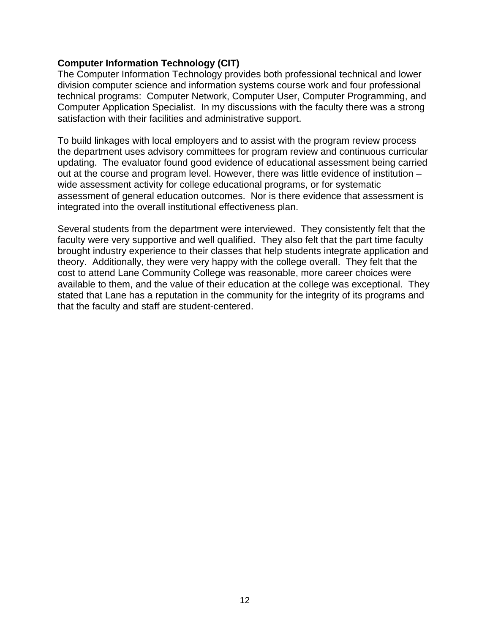#### **Computer Information Technology (CIT)**

The Computer Information Technology provides both professional technical and lower division computer science and information systems course work and four professional technical programs: Computer Network, Computer User, Computer Programming, and Computer Application Specialist. In my discussions with the faculty there was a strong satisfaction with their facilities and administrative support.

To build linkages with local employers and to assist with the program review process the department uses advisory committees for program review and continuous curricular updating. The evaluator found good evidence of educational assessment being carried out at the course and program level. However, there was little evidence of institution – wide assessment activity for college educational programs, or for systematic assessment of general education outcomes. Nor is there evidence that assessment is integrated into the overall institutional effectiveness plan.

Several students from the department were interviewed. They consistently felt that the faculty were very supportive and well qualified. They also felt that the part time faculty brought industry experience to their classes that help students integrate application and theory. Additionally, they were very happy with the college overall. They felt that the cost to attend Lane Community College was reasonable, more career choices were available to them, and the value of their education at the college was exceptional. They stated that Lane has a reputation in the community for the integrity of its programs and that the faculty and staff are student-centered.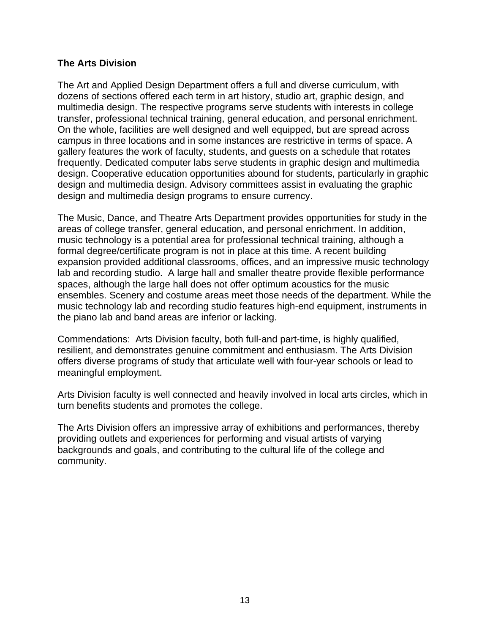## **The Arts Division**

The Art and Applied Design Department offers a full and diverse curriculum, with dozens of sections offered each term in art history, studio art, graphic design, and multimedia design. The respective programs serve students with interests in college transfer, professional technical training, general education, and personal enrichment. On the whole, facilities are well designed and well equipped, but are spread across campus in three locations and in some instances are restrictive in terms of space. A gallery features the work of faculty, students, and guests on a schedule that rotates frequently. Dedicated computer labs serve students in graphic design and multimedia design. Cooperative education opportunities abound for students, particularly in graphic design and multimedia design. Advisory committees assist in evaluating the graphic design and multimedia design programs to ensure currency.

The Music, Dance, and Theatre Arts Department provides opportunities for study in the areas of college transfer, general education, and personal enrichment. In addition, music technology is a potential area for professional technical training, although a formal degree/certificate program is not in place at this time. A recent building expansion provided additional classrooms, offices, and an impressive music technology lab and recording studio. A large hall and smaller theatre provide flexible performance spaces, although the large hall does not offer optimum acoustics for the music ensembles. Scenery and costume areas meet those needs of the department. While the music technology lab and recording studio features high-end equipment, instruments in the piano lab and band areas are inferior or lacking.

Commendations: Arts Division faculty, both full-and part-time, is highly qualified, resilient, and demonstrates genuine commitment and enthusiasm. The Arts Division offers diverse programs of study that articulate well with four-year schools or lead to meaningful employment.

Arts Division faculty is well connected and heavily involved in local arts circles, which in turn benefits students and promotes the college.

The Arts Division offers an impressive array of exhibitions and performances, thereby providing outlets and experiences for performing and visual artists of varying backgrounds and goals, and contributing to the cultural life of the college and community.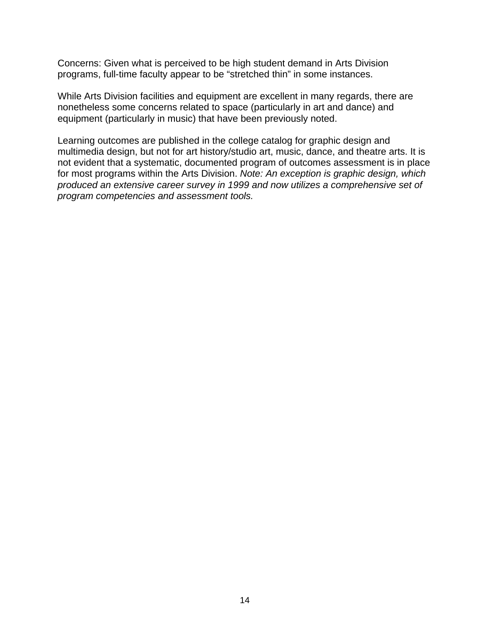Concerns: Given what is perceived to be high student demand in Arts Division programs, full-time faculty appear to be "stretched thin" in some instances.

While Arts Division facilities and equipment are excellent in many regards, there are nonetheless some concerns related to space (particularly in art and dance) and equipment (particularly in music) that have been previously noted.

Learning outcomes are published in the college catalog for graphic design and multimedia design, but not for art history/studio art, music, dance, and theatre arts. It is not evident that a systematic, documented program of outcomes assessment is in place for most programs within the Arts Division. *Note: An exception is graphic design, which produced an extensive career survey in 1999 and now utilizes a comprehensive set of program competencies and assessment tools.*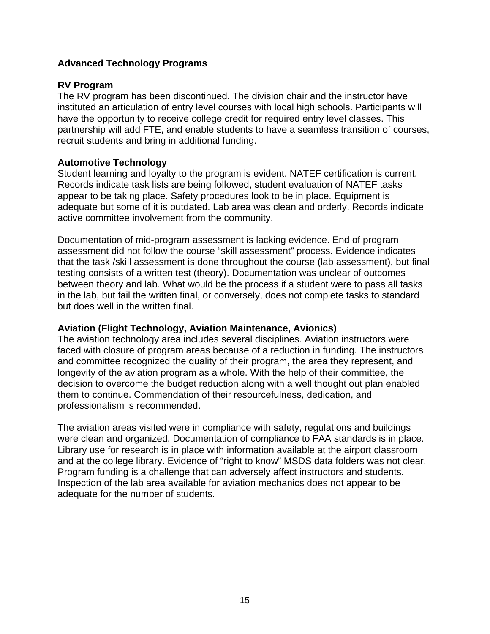## **Advanced Technology Programs**

## **RV Program**

The RV program has been discontinued. The division chair and the instructor have instituted an articulation of entry level courses with local high schools. Participants will have the opportunity to receive college credit for required entry level classes. This partnership will add FTE, and enable students to have a seamless transition of courses, recruit students and bring in additional funding.

## **Automotive Technology**

Student learning and loyalty to the program is evident. NATEF certification is current. Records indicate task lists are being followed, student evaluation of NATEF tasks appear to be taking place. Safety procedures look to be in place. Equipment is adequate but some of it is outdated. Lab area was clean and orderly. Records indicate active committee involvement from the community.

Documentation of mid-program assessment is lacking evidence. End of program assessment did not follow the course "skill assessment" process. Evidence indicates that the task /skill assessment is done throughout the course (lab assessment), but final testing consists of a written test (theory). Documentation was unclear of outcomes between theory and lab. What would be the process if a student were to pass all tasks in the lab, but fail the written final, or conversely, does not complete tasks to standard but does well in the written final.

## **Aviation (Flight Technology, Aviation Maintenance, Avionics)**

The aviation technology area includes several disciplines. Aviation instructors were faced with closure of program areas because of a reduction in funding. The instructors and committee recognized the quality of their program, the area they represent, and longevity of the aviation program as a whole. With the help of their committee, the decision to overcome the budget reduction along with a well thought out plan enabled them to continue. Commendation of their resourcefulness, dedication, and professionalism is recommended.

The aviation areas visited were in compliance with safety, regulations and buildings were clean and organized. Documentation of compliance to FAA standards is in place. Library use for research is in place with information available at the airport classroom and at the college library. Evidence of "right to know" MSDS data folders was not clear. Program funding is a challenge that can adversely affect instructors and students. Inspection of the lab area available for aviation mechanics does not appear to be adequate for the number of students.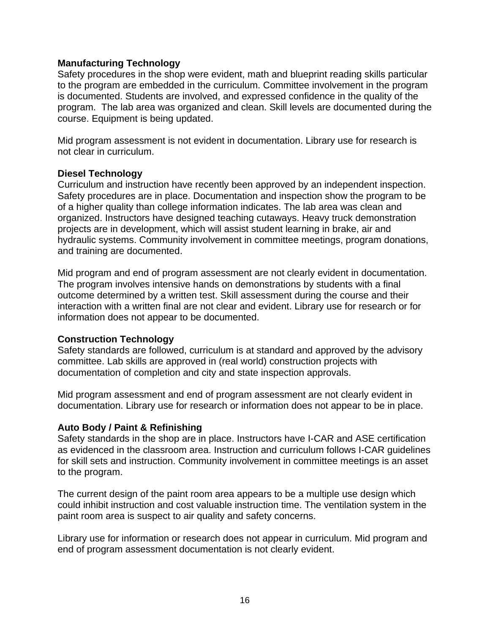## **Manufacturing Technology**

Safety procedures in the shop were evident, math and blueprint reading skills particular to the program are embedded in the curriculum. Committee involvement in the program is documented. Students are involved, and expressed confidence in the quality of the program. The lab area was organized and clean. Skill levels are documented during the course. Equipment is being updated.

Mid program assessment is not evident in documentation. Library use for research is not clear in curriculum.

#### **Diesel Technology**

Curriculum and instruction have recently been approved by an independent inspection. Safety procedures are in place. Documentation and inspection show the program to be of a higher quality than college information indicates. The lab area was clean and organized. Instructors have designed teaching cutaways. Heavy truck demonstration projects are in development, which will assist student learning in brake, air and hydraulic systems. Community involvement in committee meetings, program donations, and training are documented.

Mid program and end of program assessment are not clearly evident in documentation. The program involves intensive hands on demonstrations by students with a final outcome determined by a written test. Skill assessment during the course and their interaction with a written final are not clear and evident. Library use for research or for information does not appear to be documented.

## **Construction Technology**

Safety standards are followed, curriculum is at standard and approved by the advisory committee. Lab skills are approved in (real world) construction projects with documentation of completion and city and state inspection approvals.

Mid program assessment and end of program assessment are not clearly evident in documentation. Library use for research or information does not appear to be in place.

## **Auto Body / Paint & Refinishing**

Safety standards in the shop are in place. Instructors have I-CAR and ASE certification as evidenced in the classroom area. Instruction and curriculum follows I-CAR guidelines for skill sets and instruction. Community involvement in committee meetings is an asset to the program.

The current design of the paint room area appears to be a multiple use design which could inhibit instruction and cost valuable instruction time. The ventilation system in the paint room area is suspect to air quality and safety concerns.

Library use for information or research does not appear in curriculum. Mid program and end of program assessment documentation is not clearly evident.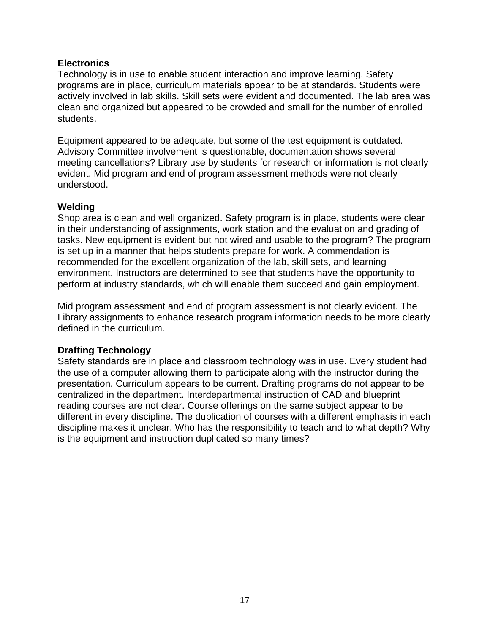## **Electronics**

Technology is in use to enable student interaction and improve learning. Safety programs are in place, curriculum materials appear to be at standards. Students were actively involved in lab skills. Skill sets were evident and documented. The lab area was clean and organized but appeared to be crowded and small for the number of enrolled students.

Equipment appeared to be adequate, but some of the test equipment is outdated. Advisory Committee involvement is questionable, documentation shows several meeting cancellations? Library use by students for research or information is not clearly evident. Mid program and end of program assessment methods were not clearly understood.

## **Welding**

Shop area is clean and well organized. Safety program is in place, students were clear in their understanding of assignments, work station and the evaluation and grading of tasks. New equipment is evident but not wired and usable to the program? The program is set up in a manner that helps students prepare for work. A commendation is recommended for the excellent organization of the lab, skill sets, and learning environment. Instructors are determined to see that students have the opportunity to perform at industry standards, which will enable them succeed and gain employment.

Mid program assessment and end of program assessment is not clearly evident. The Library assignments to enhance research program information needs to be more clearly defined in the curriculum.

## **Drafting Technology**

Safety standards are in place and classroom technology was in use. Every student had the use of a computer allowing them to participate along with the instructor during the presentation. Curriculum appears to be current. Drafting programs do not appear to be centralized in the department. Interdepartmental instruction of CAD and blueprint reading courses are not clear. Course offerings on the same subject appear to be different in every discipline. The duplication of courses with a different emphasis in each discipline makes it unclear. Who has the responsibility to teach and to what depth? Why is the equipment and instruction duplicated so many times?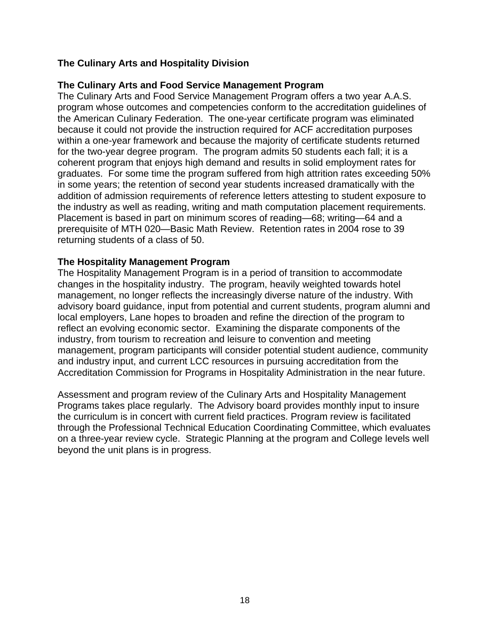# **The Culinary Arts and Hospitality Division**

## **The Culinary Arts and Food Service Management Program**

The Culinary Arts and Food Service Management Program offers a two year A.A.S. program whose outcomes and competencies conform to the accreditation guidelines of the American Culinary Federation. The one-year certificate program was eliminated because it could not provide the instruction required for ACF accreditation purposes within a one-year framework and because the majority of certificate students returned for the two-year degree program. The program admits 50 students each fall; it is a coherent program that enjoys high demand and results in solid employment rates for graduates. For some time the program suffered from high attrition rates exceeding 50% in some years; the retention of second year students increased dramatically with the addition of admission requirements of reference letters attesting to student exposure to the industry as well as reading, writing and math computation placement requirements. Placement is based in part on minimum scores of reading—68; writing—64 and a prerequisite of MTH 020—Basic Math Review. Retention rates in 2004 rose to 39 returning students of a class of 50.

#### **The Hospitality Management Program**

The Hospitality Management Program is in a period of transition to accommodate changes in the hospitality industry. The program, heavily weighted towards hotel management, no longer reflects the increasingly diverse nature of the industry. With advisory board guidance, input from potential and current students, program alumni and local employers, Lane hopes to broaden and refine the direction of the program to reflect an evolving economic sector. Examining the disparate components of the industry, from tourism to recreation and leisure to convention and meeting management, program participants will consider potential student audience, community and industry input, and current LCC resources in pursuing accreditation from the Accreditation Commission for Programs in Hospitality Administration in the near future.

Assessment and program review of the Culinary Arts and Hospitality Management Programs takes place regularly. The Advisory board provides monthly input to insure the curriculum is in concert with current field practices. Program review is facilitated through the Professional Technical Education Coordinating Committee, which evaluates on a three-year review cycle. Strategic Planning at the program and College levels well beyond the unit plans is in progress.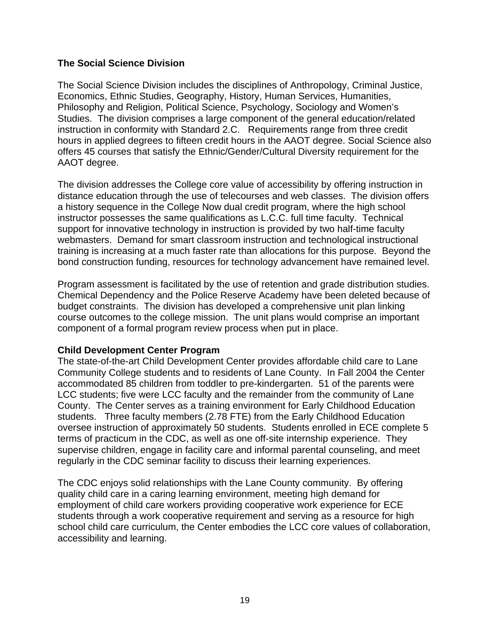## **The Social Science Division**

The Social Science Division includes the disciplines of Anthropology, Criminal Justice, Economics, Ethnic Studies, Geography, History, Human Services, Humanities, Philosophy and Religion, Political Science, Psychology, Sociology and Women's Studies. The division comprises a large component of the general education/related instruction in conformity with Standard 2.C. Requirements range from three credit hours in applied degrees to fifteen credit hours in the AAOT degree. Social Science also offers 45 courses that satisfy the Ethnic/Gender/Cultural Diversity requirement for the AAOT degree.

The division addresses the College core value of accessibility by offering instruction in distance education through the use of telecourses and web classes. The division offers a history sequence in the College Now dual credit program, where the high school instructor possesses the same qualifications as L.C.C. full time faculty. Technical support for innovative technology in instruction is provided by two half-time faculty webmasters. Demand for smart classroom instruction and technological instructional training is increasing at a much faster rate than allocations for this purpose. Beyond the bond construction funding, resources for technology advancement have remained level.

Program assessment is facilitated by the use of retention and grade distribution studies. Chemical Dependency and the Police Reserve Academy have been deleted because of budget constraints. The division has developed a comprehensive unit plan linking course outcomes to the college mission. The unit plans would comprise an important component of a formal program review process when put in place.

## **Child Development Center Program**

The state-of-the-art Child Development Center provides affordable child care to Lane Community College students and to residents of Lane County. In Fall 2004 the Center accommodated 85 children from toddler to pre-kindergarten. 51 of the parents were LCC students; five were LCC faculty and the remainder from the community of Lane County. The Center serves as a training environment for Early Childhood Education students. Three faculty members (2.78 FTE) from the Early Childhood Education oversee instruction of approximately 50 students. Students enrolled in ECE complete 5 terms of practicum in the CDC, as well as one off-site internship experience. They supervise children, engage in facility care and informal parental counseling, and meet regularly in the CDC seminar facility to discuss their learning experiences.

The CDC enjoys solid relationships with the Lane County community. By offering quality child care in a caring learning environment, meeting high demand for employment of child care workers providing cooperative work experience for ECE students through a work cooperative requirement and serving as a resource for high school child care curriculum, the Center embodies the LCC core values of collaboration, accessibility and learning.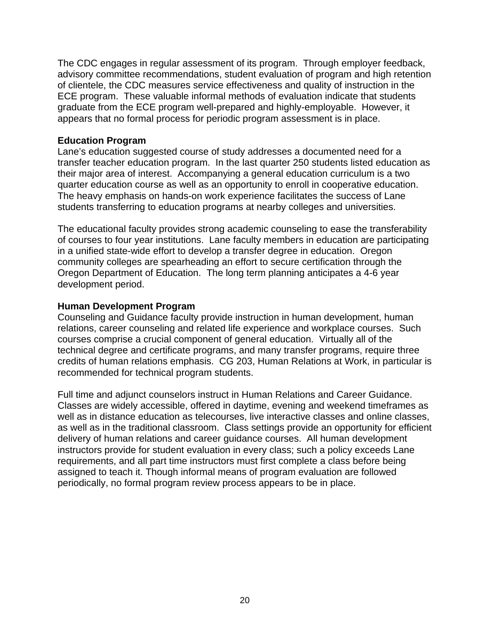The CDC engages in regular assessment of its program. Through employer feedback, advisory committee recommendations, student evaluation of program and high retention of clientele, the CDC measures service effectiveness and quality of instruction in the ECE program. These valuable informal methods of evaluation indicate that students graduate from the ECE program well-prepared and highly-employable. However, it appears that no formal process for periodic program assessment is in place.

#### **Education Program**

Lane's education suggested course of study addresses a documented need for a transfer teacher education program. In the last quarter 250 students listed education as their major area of interest. Accompanying a general education curriculum is a two quarter education course as well as an opportunity to enroll in cooperative education. The heavy emphasis on hands-on work experience facilitates the success of Lane students transferring to education programs at nearby colleges and universities.

The educational faculty provides strong academic counseling to ease the transferability of courses to four year institutions. Lane faculty members in education are participating in a unified state-wide effort to develop a transfer degree in education. Oregon community colleges are spearheading an effort to secure certification through the Oregon Department of Education. The long term planning anticipates a 4-6 year development period.

#### **Human Development Program**

Counseling and Guidance faculty provide instruction in human development, human relations, career counseling and related life experience and workplace courses. Such courses comprise a crucial component of general education. Virtually all of the technical degree and certificate programs, and many transfer programs, require three credits of human relations emphasis. CG 203, Human Relations at Work, in particular is recommended for technical program students.

Full time and adjunct counselors instruct in Human Relations and Career Guidance. Classes are widely accessible, offered in daytime, evening and weekend timeframes as well as in distance education as telecourses, live interactive classes and online classes, as well as in the traditional classroom. Class settings provide an opportunity for efficient delivery of human relations and career guidance courses. All human development instructors provide for student evaluation in every class; such a policy exceeds Lane requirements, and all part time instructors must first complete a class before being assigned to teach it. Though informal means of program evaluation are followed periodically, no formal program review process appears to be in place.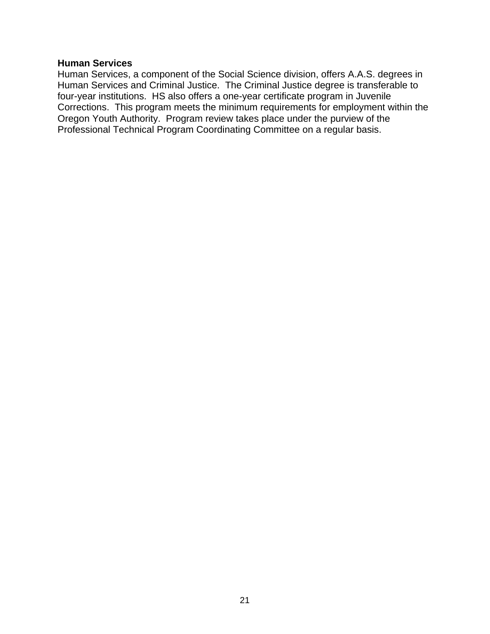#### **Human Services**

Human Services, a component of the Social Science division, offers A.A.S. degrees in Human Services and Criminal Justice. The Criminal Justice degree is transferable to four-year institutions. HS also offers a one-year certificate program in Juvenile Corrections. This program meets the minimum requirements for employment within the Oregon Youth Authority. Program review takes place under the purview of the Professional Technical Program Coordinating Committee on a regular basis.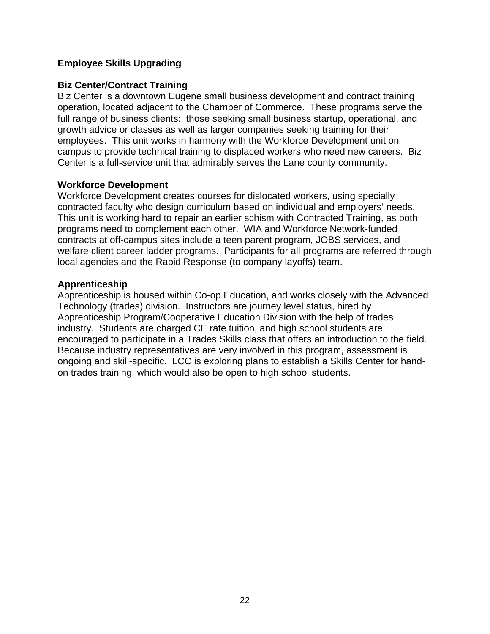# **Employee Skills Upgrading**

#### **Biz Center/Contract Training**

Biz Center is a downtown Eugene small business development and contract training operation, located adjacent to the Chamber of Commerce. These programs serve the full range of business clients: those seeking small business startup, operational, and growth advice or classes as well as larger companies seeking training for their employees. This unit works in harmony with the Workforce Development unit on campus to provide technical training to displaced workers who need new careers. Biz Center is a full-service unit that admirably serves the Lane county community.

#### **Workforce Development**

Workforce Development creates courses for dislocated workers, using specially contracted faculty who design curriculum based on individual and employers' needs. This unit is working hard to repair an earlier schism with Contracted Training, as both programs need to complement each other. WIA and Workforce Network-funded contracts at off-campus sites include a teen parent program, JOBS services, and welfare client career ladder programs. Participants for all programs are referred through local agencies and the Rapid Response (to company layoffs) team.

#### **Apprenticeship**

Apprenticeship is housed within Co-op Education, and works closely with the Advanced Technology (trades) division. Instructors are journey level status, hired by Apprenticeship Program/Cooperative Education Division with the help of trades industry. Students are charged CE rate tuition, and high school students are encouraged to participate in a Trades Skills class that offers an introduction to the field. Because industry representatives are very involved in this program, assessment is ongoing and skill-specific. LCC is exploring plans to establish a Skills Center for handon trades training, which would also be open to high school students.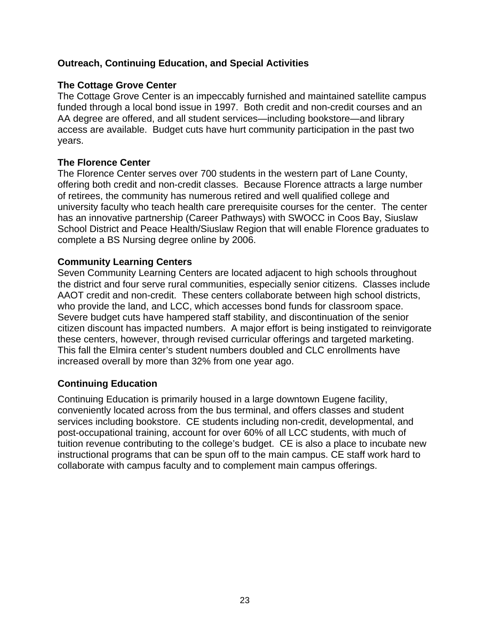# **Outreach, Continuing Education, and Special Activities**

## **The Cottage Grove Center**

The Cottage Grove Center is an impeccably furnished and maintained satellite campus funded through a local bond issue in 1997. Both credit and non-credit courses and an AA degree are offered, and all student services—including bookstore—and library access are available. Budget cuts have hurt community participation in the past two years.

## **The Florence Center**

The Florence Center serves over 700 students in the western part of Lane County, offering both credit and non-credit classes. Because Florence attracts a large number of retirees, the community has numerous retired and well qualified college and university faculty who teach health care prerequisite courses for the center. The center has an innovative partnership (Career Pathways) with SWOCC in Coos Bay, Siuslaw School District and Peace Health/Siuslaw Region that will enable Florence graduates to complete a BS Nursing degree online by 2006.

## **Community Learning Centers**

Seven Community Learning Centers are located adjacent to high schools throughout the district and four serve rural communities, especially senior citizens. Classes include AAOT credit and non-credit. These centers collaborate between high school districts, who provide the land, and LCC, which accesses bond funds for classroom space. Severe budget cuts have hampered staff stability, and discontinuation of the senior citizen discount has impacted numbers. A major effort is being instigated to reinvigorate these centers, however, through revised curricular offerings and targeted marketing. This fall the Elmira center's student numbers doubled and CLC enrollments have increased overall by more than 32% from one year ago.

## **Continuing Education**

Continuing Education is primarily housed in a large downtown Eugene facility, conveniently located across from the bus terminal, and offers classes and student services including bookstore. CE students including non-credit, developmental, and post-occupational training, account for over 60% of all LCC students, with much of tuition revenue contributing to the college's budget. CE is also a place to incubate new instructional programs that can be spun off to the main campus. CE staff work hard to collaborate with campus faculty and to complement main campus offerings.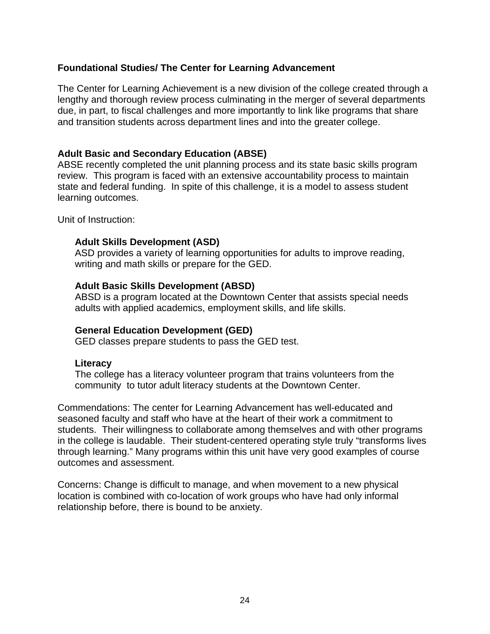## **Foundational Studies/ The Center for Learning Advancement**

The Center for Learning Achievement is a new division of the college created through a lengthy and thorough review process culminating in the merger of several departments due, in part, to fiscal challenges and more importantly to link like programs that share and transition students across department lines and into the greater college.

## **Adult Basic and Secondary Education (ABSE)**

ABSE recently completed the unit planning process and its state basic skills program review. This program is faced with an extensive accountability process to maintain state and federal funding. In spite of this challenge, it is a model to assess student learning outcomes.

Unit of Instruction:

## **Adult Skills Development (ASD)**

 ASD provides a variety of learning opportunities for adults to improve reading, writing and math skills or prepare for the GED.

#### **Adult Basic Skills Development (ABSD)**

 ABSD is a program located at the Downtown Center that assists special needs adults with applied academics, employment skills, and life skills.

## **General Education Development (GED)**

GED classes prepare students to pass the GED test.

#### **Literacy**

 The college has a literacy volunteer program that trains volunteers from the community to tutor adult literacy students at the Downtown Center.

Commendations: The center for Learning Advancement has well-educated and seasoned faculty and staff who have at the heart of their work a commitment to students. Their willingness to collaborate among themselves and with other programs in the college is laudable. Their student-centered operating style truly "transforms lives through learning." Many programs within this unit have very good examples of course outcomes and assessment.

Concerns: Change is difficult to manage, and when movement to a new physical location is combined with co-location of work groups who have had only informal relationship before, there is bound to be anxiety.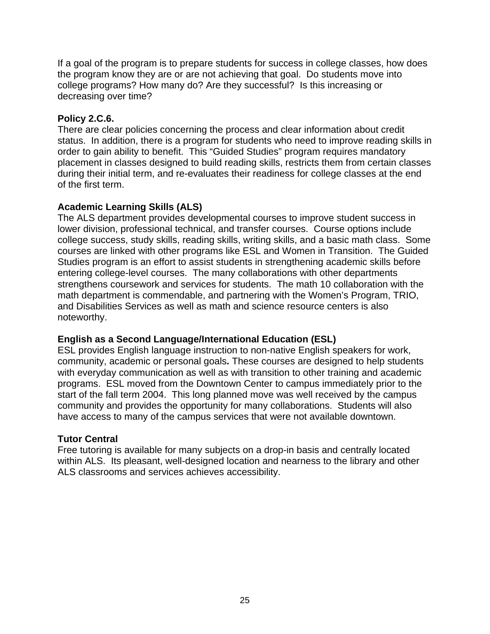If a goal of the program is to prepare students for success in college classes, how does the program know they are or are not achieving that goal. Do students move into college programs? How many do? Are they successful? Is this increasing or decreasing over time?

# **Policy 2.C.6.**

There are clear policies concerning the process and clear information about credit status. In addition, there is a program for students who need to improve reading skills in order to gain ability to benefit. This "Guided Studies" program requires mandatory placement in classes designed to build reading skills, restricts them from certain classes during their initial term, and re-evaluates their readiness for college classes at the end of the first term.

# **Academic Learning Skills (ALS)**

The ALS department provides developmental courses to improve student success in lower division, professional technical, and transfer courses. Course options include college success, study skills, reading skills, writing skills, and a basic math class. Some courses are linked with other programs like ESL and Women in Transition. The Guided Studies program is an effort to assist students in strengthening academic skills before entering college-level courses. The many collaborations with other departments strengthens coursework and services for students. The math 10 collaboration with the math department is commendable, and partnering with the Women's Program, TRIO, and Disabilities Services as well as math and science resource centers is also noteworthy.

# **English as a Second Language/International Education (ESL)**

ESL provides English language instruction to non-native English speakers for work, community, academic or personal goals**.** These courses are designed to help students with everyday communication as well as with transition to other training and academic programs. ESL moved from the Downtown Center to campus immediately prior to the start of the fall term 2004. This long planned move was well received by the campus community and provides the opportunity for many collaborations. Students will also have access to many of the campus services that were not available downtown.

## **Tutor Central**

Free tutoring is available for many subjects on a drop-in basis and centrally located within ALS. Its pleasant, well-designed location and nearness to the library and other ALS classrooms and services achieves accessibility.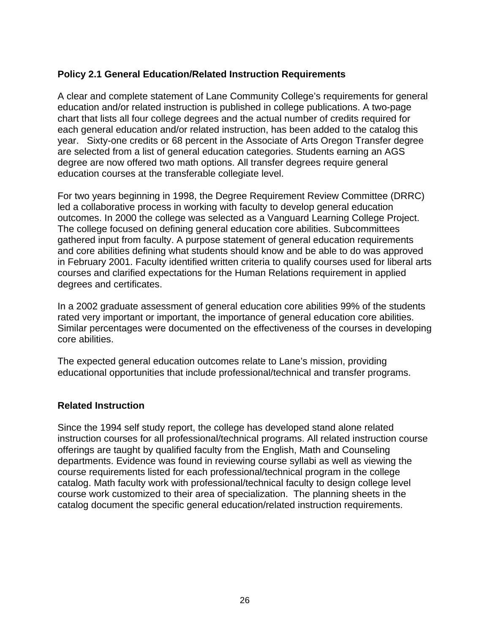# **Policy 2.1 General Education/Related Instruction Requirements**

A clear and complete statement of Lane Community College's requirements for general education and/or related instruction is published in college publications. A two-page chart that lists all four college degrees and the actual number of credits required for each general education and/or related instruction, has been added to the catalog this year. Sixty-one credits or 68 percent in the Associate of Arts Oregon Transfer degree are selected from a list of general education categories. Students earning an AGS degree are now offered two math options. All transfer degrees require general education courses at the transferable collegiate level.

For two years beginning in 1998, the Degree Requirement Review Committee (DRRC) led a collaborative process in working with faculty to develop general education outcomes. In 2000 the college was selected as a Vanguard Learning College Project. The college focused on defining general education core abilities. Subcommittees gathered input from faculty. A purpose statement of general education requirements and core abilities defining what students should know and be able to do was approved in February 2001. Faculty identified written criteria to qualify courses used for liberal arts courses and clarified expectations for the Human Relations requirement in applied degrees and certificates.

In a 2002 graduate assessment of general education core abilities 99% of the students rated very important or important, the importance of general education core abilities. Similar percentages were documented on the effectiveness of the courses in developing core abilities.

The expected general education outcomes relate to Lane's mission, providing educational opportunities that include professional/technical and transfer programs.

## **Related Instruction**

Since the 1994 self study report, the college has developed stand alone related instruction courses for all professional/technical programs. All related instruction course offerings are taught by qualified faculty from the English, Math and Counseling departments. Evidence was found in reviewing course syllabi as well as viewing the course requirements listed for each professional/technical program in the college catalog. Math faculty work with professional/technical faculty to design college level course work customized to their area of specialization. The planning sheets in the catalog document the specific general education/related instruction requirements.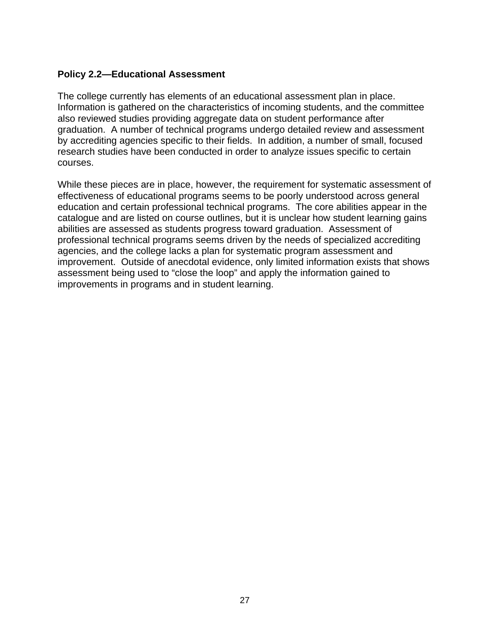# **Policy 2.2—Educational Assessment**

The college currently has elements of an educational assessment plan in place. Information is gathered on the characteristics of incoming students, and the committee also reviewed studies providing aggregate data on student performance after graduation. A number of technical programs undergo detailed review and assessment by accrediting agencies specific to their fields. In addition, a number of small, focused research studies have been conducted in order to analyze issues specific to certain courses.

While these pieces are in place, however, the requirement for systematic assessment of effectiveness of educational programs seems to be poorly understood across general education and certain professional technical programs. The core abilities appear in the catalogue and are listed on course outlines, but it is unclear how student learning gains abilities are assessed as students progress toward graduation. Assessment of professional technical programs seems driven by the needs of specialized accrediting agencies, and the college lacks a plan for systematic program assessment and improvement. Outside of anecdotal evidence, only limited information exists that shows assessment being used to "close the loop" and apply the information gained to improvements in programs and in student learning.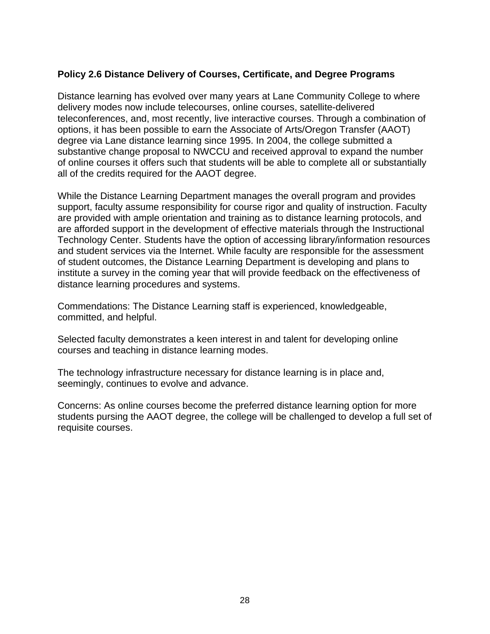# **Policy 2.6 Distance Delivery of Courses, Certificate, and Degree Programs**

Distance learning has evolved over many years at Lane Community College to where delivery modes now include telecourses, online courses, satellite-delivered teleconferences, and, most recently, live interactive courses. Through a combination of options, it has been possible to earn the Associate of Arts/Oregon Transfer (AAOT) degree via Lane distance learning since 1995. In 2004, the college submitted a substantive change proposal to NWCCU and received approval to expand the number of online courses it offers such that students will be able to complete all or substantially all of the credits required for the AAOT degree.

While the Distance Learning Department manages the overall program and provides support, faculty assume responsibility for course rigor and quality of instruction. Faculty are provided with ample orientation and training as to distance learning protocols, and are afforded support in the development of effective materials through the Instructional Technology Center. Students have the option of accessing library/information resources and student services via the Internet. While faculty are responsible for the assessment of student outcomes, the Distance Learning Department is developing and plans to institute a survey in the coming year that will provide feedback on the effectiveness of distance learning procedures and systems.

Commendations: The Distance Learning staff is experienced, knowledgeable, committed, and helpful.

Selected faculty demonstrates a keen interest in and talent for developing online courses and teaching in distance learning modes.

The technology infrastructure necessary for distance learning is in place and, seemingly, continues to evolve and advance.

Concerns: As online courses become the preferred distance learning option for more students pursing the AAOT degree, the college will be challenged to develop a full set of requisite courses.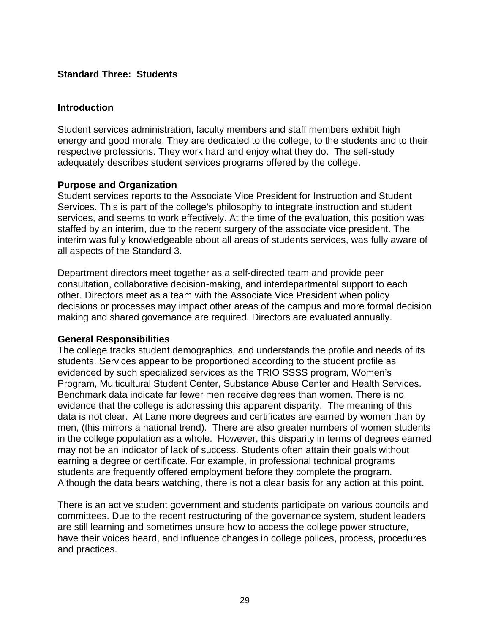## **Standard Three: Students**

## **Introduction**

Student services administration, faculty members and staff members exhibit high energy and good morale. They are dedicated to the college, to the students and to their respective professions. They work hard and enjoy what they do. The self-study adequately describes student services programs offered by the college.

## **Purpose and Organization**

Student services reports to the Associate Vice President for Instruction and Student Services. This is part of the college's philosophy to integrate instruction and student services, and seems to work effectively. At the time of the evaluation, this position was staffed by an interim, due to the recent surgery of the associate vice president. The interim was fully knowledgeable about all areas of students services, was fully aware of all aspects of the Standard 3.

Department directors meet together as a self-directed team and provide peer consultation, collaborative decision-making, and interdepartmental support to each other. Directors meet as a team with the Associate Vice President when policy decisions or processes may impact other areas of the campus and more formal decision making and shared governance are required. Directors are evaluated annually.

## **General Responsibilities**

The college tracks student demographics, and understands the profile and needs of its students. Services appear to be proportioned according to the student profile as evidenced by such specialized services as the TRIO SSSS program, Women's Program, Multicultural Student Center, Substance Abuse Center and Health Services. Benchmark data indicate far fewer men receive degrees than women. There is no evidence that the college is addressing this apparent disparity. The meaning of this data is not clear. At Lane more degrees and certificates are earned by women than by men, (this mirrors a national trend). There are also greater numbers of women students in the college population as a whole. However, this disparity in terms of degrees earned may not be an indicator of lack of success. Students often attain their goals without earning a degree or certificate. For example, in professional technical programs students are frequently offered employment before they complete the program. Although the data bears watching, there is not a clear basis for any action at this point.

There is an active student government and students participate on various councils and committees. Due to the recent restructuring of the governance system, student leaders are still learning and sometimes unsure how to access the college power structure, have their voices heard, and influence changes in college polices, process, procedures and practices.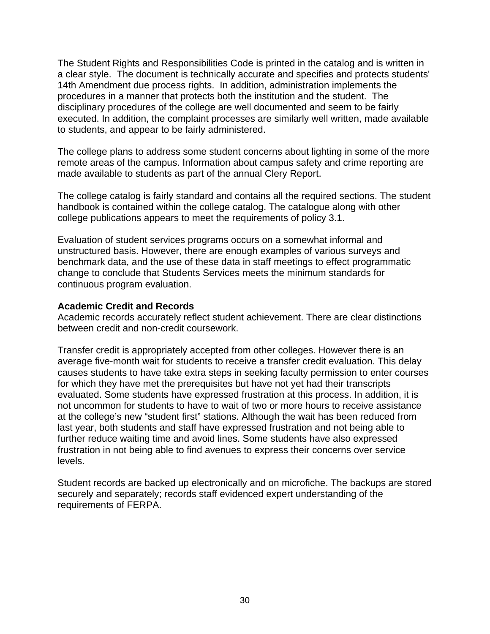The Student Rights and Responsibilities Code is printed in the catalog and is written in a clear style. The document is technically accurate and specifies and protects students' 14th Amendment due process rights. In addition, administration implements the procedures in a manner that protects both the institution and the student. The disciplinary procedures of the college are well documented and seem to be fairly executed. In addition, the complaint processes are similarly well written, made available to students, and appear to be fairly administered.

The college plans to address some student concerns about lighting in some of the more remote areas of the campus. Information about campus safety and crime reporting are made available to students as part of the annual Clery Report.

The college catalog is fairly standard and contains all the required sections. The student handbook is contained within the college catalog. The catalogue along with other college publications appears to meet the requirements of policy 3.1.

Evaluation of student services programs occurs on a somewhat informal and unstructured basis. However, there are enough examples of various surveys and benchmark data, and the use of these data in staff meetings to effect programmatic change to conclude that Students Services meets the minimum standards for continuous program evaluation.

#### **Academic Credit and Records**

Academic records accurately reflect student achievement. There are clear distinctions between credit and non-credit coursework.

Transfer credit is appropriately accepted from other colleges. However there is an average five-month wait for students to receive a transfer credit evaluation. This delay causes students to have take extra steps in seeking faculty permission to enter courses for which they have met the prerequisites but have not yet had their transcripts evaluated. Some students have expressed frustration at this process. In addition, it is not uncommon for students to have to wait of two or more hours to receive assistance at the college's new "student first" stations. Although the wait has been reduced from last year, both students and staff have expressed frustration and not being able to further reduce waiting time and avoid lines. Some students have also expressed frustration in not being able to find avenues to express their concerns over service levels.

Student records are backed up electronically and on microfiche. The backups are stored securely and separately; records staff evidenced expert understanding of the requirements of FERPA.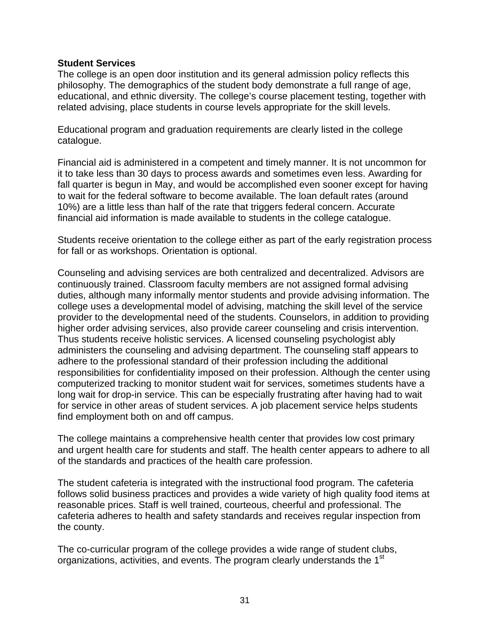#### **Student Services**

The college is an open door institution and its general admission policy reflects this philosophy. The demographics of the student body demonstrate a full range of age, educational, and ethnic diversity. The college's course placement testing, together with related advising, place students in course levels appropriate for the skill levels.

Educational program and graduation requirements are clearly listed in the college catalogue.

Financial aid is administered in a competent and timely manner. It is not uncommon for it to take less than 30 days to process awards and sometimes even less. Awarding for fall quarter is begun in May, and would be accomplished even sooner except for having to wait for the federal software to become available. The loan default rates (around 10%) are a little less than half of the rate that triggers federal concern. Accurate financial aid information is made available to students in the college catalogue.

Students receive orientation to the college either as part of the early registration process for fall or as workshops. Orientation is optional.

Counseling and advising services are both centralized and decentralized. Advisors are continuously trained. Classroom faculty members are not assigned formal advising duties, although many informally mentor students and provide advising information. The college uses a developmental model of advising, matching the skill level of the service provider to the developmental need of the students. Counselors, in addition to providing higher order advising services, also provide career counseling and crisis intervention. Thus students receive holistic services. A licensed counseling psychologist ably administers the counseling and advising department. The counseling staff appears to adhere to the professional standard of their profession including the additional responsibilities for confidentiality imposed on their profession. Although the center using computerized tracking to monitor student wait for services, sometimes students have a long wait for drop-in service. This can be especially frustrating after having had to wait for service in other areas of student services. A job placement service helps students find employment both on and off campus.

The college maintains a comprehensive health center that provides low cost primary and urgent health care for students and staff. The health center appears to adhere to all of the standards and practices of the health care profession.

The student cafeteria is integrated with the instructional food program. The cafeteria follows solid business practices and provides a wide variety of high quality food items at reasonable prices. Staff is well trained, courteous, cheerful and professional. The cafeteria adheres to health and safety standards and receives regular inspection from the county.

The co-curricular program of the college provides a wide range of student clubs, organizations, activities, and events. The program clearly understands the 1<sup>st</sup>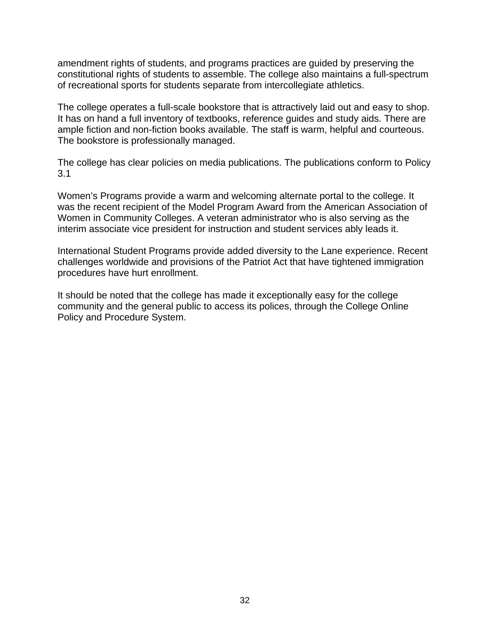amendment rights of students, and programs practices are guided by preserving the constitutional rights of students to assemble. The college also maintains a full-spectrum of recreational sports for students separate from intercollegiate athletics.

The college operates a full-scale bookstore that is attractively laid out and easy to shop. It has on hand a full inventory of textbooks, reference guides and study aids. There are ample fiction and non-fiction books available. The staff is warm, helpful and courteous. The bookstore is professionally managed.

The college has clear policies on media publications. The publications conform to Policy 3.1

Women's Programs provide a warm and welcoming alternate portal to the college. It was the recent recipient of the Model Program Award from the American Association of Women in Community Colleges. A veteran administrator who is also serving as the interim associate vice president for instruction and student services ably leads it.

International Student Programs provide added diversity to the Lane experience. Recent challenges worldwide and provisions of the Patriot Act that have tightened immigration procedures have hurt enrollment.

It should be noted that the college has made it exceptionally easy for the college community and the general public to access its polices, through the College Online Policy and Procedure System.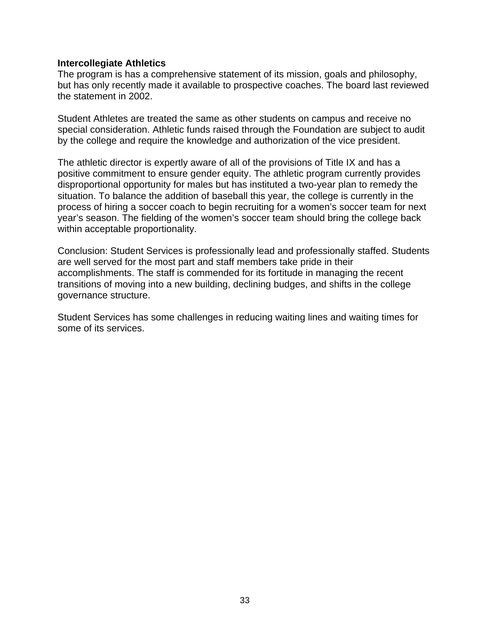#### **Intercollegiate Athletics**

The program is has a comprehensive statement of its mission, goals and philosophy, but has only recently made it available to prospective coaches. The board last reviewed the statement in 2002.

Student Athletes are treated the same as other students on campus and receive no special consideration. Athletic funds raised through the Foundation are subject to audit by the college and require the knowledge and authorization of the vice president.

The athletic director is expertly aware of all of the provisions of Title IX and has a positive commitment to ensure gender equity. The athletic program currently provides disproportional opportunity for males but has instituted a two-year plan to remedy the situation. To balance the addition of baseball this year, the college is currently in the process of hiring a soccer coach to begin recruiting for a women's soccer team for next year's season. The fielding of the women's soccer team should bring the college back within acceptable proportionality.

Conclusion: Student Services is professionally lead and professionally staffed. Students are well served for the most part and staff members take pride in their accomplishments. The staff is commended for its fortitude in managing the recent transitions of moving into a new building, declining budges, and shifts in the college governance structure.

Student Services has some challenges in reducing waiting lines and waiting times for some of its services.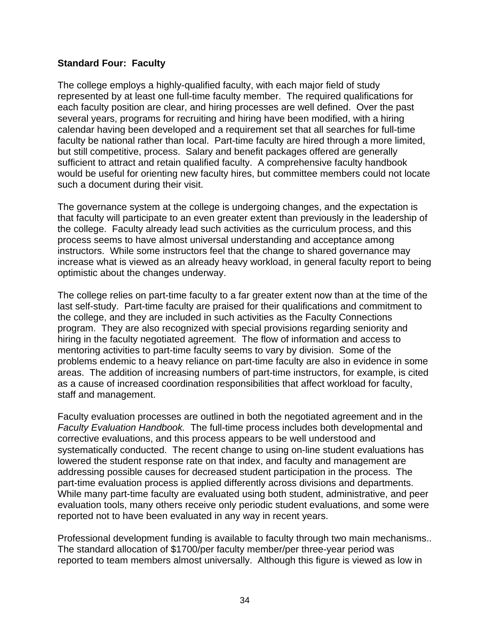## **Standard Four: Faculty**

The college employs a highly-qualified faculty, with each major field of study represented by at least one full-time faculty member. The required qualifications for each faculty position are clear, and hiring processes are well defined. Over the past several years, programs for recruiting and hiring have been modified, with a hiring calendar having been developed and a requirement set that all searches for full-time faculty be national rather than local. Part-time faculty are hired through a more limited, but still competitive, process. Salary and benefit packages offered are generally sufficient to attract and retain qualified faculty. A comprehensive faculty handbook would be useful for orienting new faculty hires, but committee members could not locate such a document during their visit.

The governance system at the college is undergoing changes, and the expectation is that faculty will participate to an even greater extent than previously in the leadership of the college. Faculty already lead such activities as the curriculum process, and this process seems to have almost universal understanding and acceptance among instructors. While some instructors feel that the change to shared governance may increase what is viewed as an already heavy workload, in general faculty report to being optimistic about the changes underway.

The college relies on part-time faculty to a far greater extent now than at the time of the last self-study. Part-time faculty are praised for their qualifications and commitment to the college, and they are included in such activities as the Faculty Connections program. They are also recognized with special provisions regarding seniority and hiring in the faculty negotiated agreement. The flow of information and access to mentoring activities to part-time faculty seems to vary by division. Some of the problems endemic to a heavy reliance on part-time faculty are also in evidence in some areas. The addition of increasing numbers of part-time instructors, for example, is cited as a cause of increased coordination responsibilities that affect workload for faculty, staff and management.

Faculty evaluation processes are outlined in both the negotiated agreement and in the *Faculty Evaluation Handbook.* The full-time process includes both developmental and corrective evaluations, and this process appears to be well understood and systematically conducted. The recent change to using on-line student evaluations has lowered the student response rate on that index, and faculty and management are addressing possible causes for decreased student participation in the process. The part-time evaluation process is applied differently across divisions and departments. While many part-time faculty are evaluated using both student, administrative, and peer evaluation tools, many others receive only periodic student evaluations, and some were reported not to have been evaluated in any way in recent years.

Professional development funding is available to faculty through two main mechanisms.. The standard allocation of \$1700/per faculty member/per three-year period was reported to team members almost universally. Although this figure is viewed as low in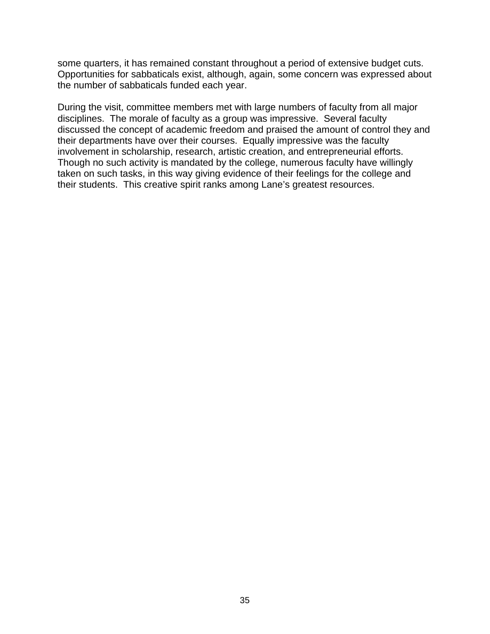some quarters, it has remained constant throughout a period of extensive budget cuts. Opportunities for sabbaticals exist, although, again, some concern was expressed about the number of sabbaticals funded each year.

During the visit, committee members met with large numbers of faculty from all major disciplines. The morale of faculty as a group was impressive. Several faculty discussed the concept of academic freedom and praised the amount of control they and their departments have over their courses. Equally impressive was the faculty involvement in scholarship, research, artistic creation, and entrepreneurial efforts. Though no such activity is mandated by the college, numerous faculty have willingly taken on such tasks, in this way giving evidence of their feelings for the college and their students. This creative spirit ranks among Lane's greatest resources.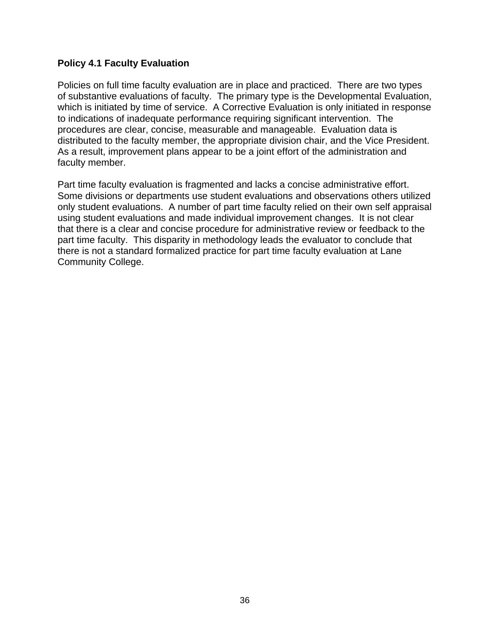## **Policy 4.1 Faculty Evaluation**

Policies on full time faculty evaluation are in place and practiced. There are two types of substantive evaluations of faculty. The primary type is the Developmental Evaluation, which is initiated by time of service. A Corrective Evaluation is only initiated in response to indications of inadequate performance requiring significant intervention. The procedures are clear, concise, measurable and manageable. Evaluation data is distributed to the faculty member, the appropriate division chair, and the Vice President. As a result, improvement plans appear to be a joint effort of the administration and faculty member.

Part time faculty evaluation is fragmented and lacks a concise administrative effort. Some divisions or departments use student evaluations and observations others utilized only student evaluations. A number of part time faculty relied on their own self appraisal using student evaluations and made individual improvement changes. It is not clear that there is a clear and concise procedure for administrative review or feedback to the part time faculty. This disparity in methodology leads the evaluator to conclude that there is not a standard formalized practice for part time faculty evaluation at Lane Community College.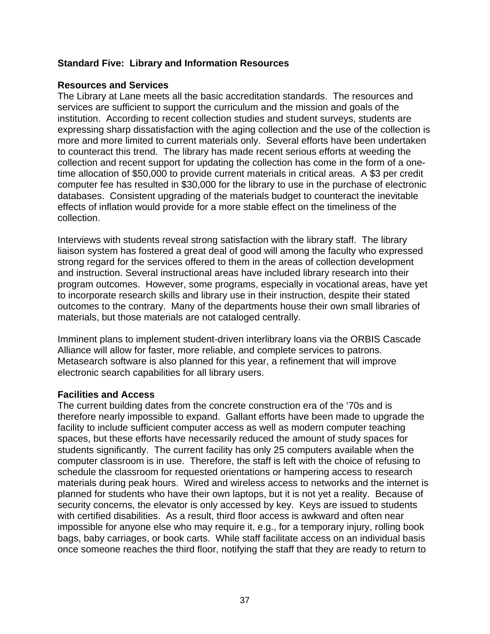## **Standard Five: Library and Information Resources**

## **Resources and Services**

The Library at Lane meets all the basic accreditation standards. The resources and services are sufficient to support the curriculum and the mission and goals of the institution. According to recent collection studies and student surveys, students are expressing sharp dissatisfaction with the aging collection and the use of the collection is more and more limited to current materials only. Several efforts have been undertaken to counteract this trend. The library has made recent serious efforts at weeding the collection and recent support for updating the collection has come in the form of a onetime allocation of \$50,000 to provide current materials in critical areas. A \$3 per credit computer fee has resulted in \$30,000 for the library to use in the purchase of electronic databases. Consistent upgrading of the materials budget to counteract the inevitable effects of inflation would provide for a more stable effect on the timeliness of the collection.

Interviews with students reveal strong satisfaction with the library staff. The library liaison system has fostered a great deal of good will among the faculty who expressed strong regard for the services offered to them in the areas of collection development and instruction. Several instructional areas have included library research into their program outcomes. However, some programs, especially in vocational areas, have yet to incorporate research skills and library use in their instruction, despite their stated outcomes to the contrary. Many of the departments house their own small libraries of materials, but those materials are not cataloged centrally.

Imminent plans to implement student-driven interlibrary loans via the ORBIS Cascade Alliance will allow for faster, more reliable, and complete services to patrons. Metasearch software is also planned for this year, a refinement that will improve electronic search capabilities for all library users.

## **Facilities and Access**

The current building dates from the concrete construction era of the '70s and is therefore nearly impossible to expand. Gallant efforts have been made to upgrade the facility to include sufficient computer access as well as modern computer teaching spaces, but these efforts have necessarily reduced the amount of study spaces for students significantly. The current facility has only 25 computers available when the computer classroom is in use. Therefore, the staff is left with the choice of refusing to schedule the classroom for requested orientations or hampering access to research materials during peak hours. Wired and wireless access to networks and the internet is planned for students who have their own laptops, but it is not yet a reality. Because of security concerns, the elevator is only accessed by key. Keys are issued to students with certified disabilities. As a result, third floor access is awkward and often near impossible for anyone else who may require it, e.g., for a temporary injury, rolling book bags, baby carriages, or book carts. While staff facilitate access on an individual basis once someone reaches the third floor, notifying the staff that they are ready to return to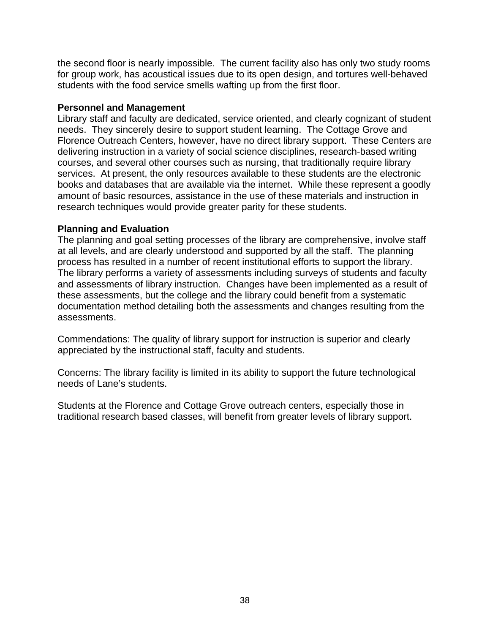the second floor is nearly impossible. The current facility also has only two study rooms for group work, has acoustical issues due to its open design, and tortures well-behaved students with the food service smells wafting up from the first floor.

#### **Personnel and Management**

Library staff and faculty are dedicated, service oriented, and clearly cognizant of student needs. They sincerely desire to support student learning. The Cottage Grove and Florence Outreach Centers, however, have no direct library support. These Centers are delivering instruction in a variety of social science disciplines, research-based writing courses, and several other courses such as nursing, that traditionally require library services. At present, the only resources available to these students are the electronic books and databases that are available via the internet. While these represent a goodly amount of basic resources, assistance in the use of these materials and instruction in research techniques would provide greater parity for these students.

#### **Planning and Evaluation**

The planning and goal setting processes of the library are comprehensive, involve staff at all levels, and are clearly understood and supported by all the staff. The planning process has resulted in a number of recent institutional efforts to support the library. The library performs a variety of assessments including surveys of students and faculty and assessments of library instruction. Changes have been implemented as a result of these assessments, but the college and the library could benefit from a systematic documentation method detailing both the assessments and changes resulting from the assessments.

Commendations: The quality of library support for instruction is superior and clearly appreciated by the instructional staff, faculty and students.

Concerns: The library facility is limited in its ability to support the future technological needs of Lane's students.

Students at the Florence and Cottage Grove outreach centers, especially those in traditional research based classes, will benefit from greater levels of library support.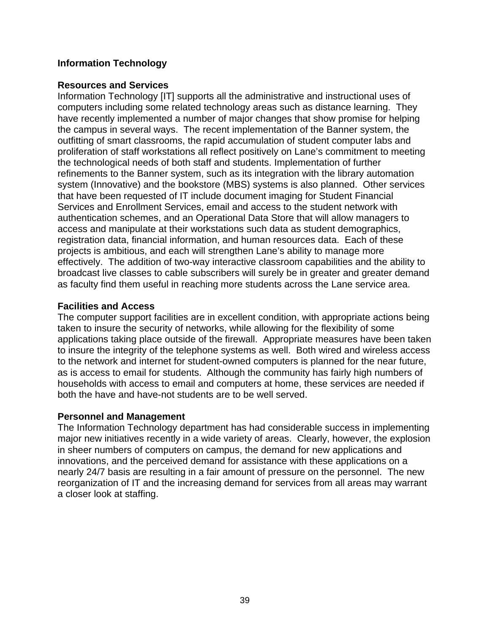# **Information Technology**

## **Resources and Services**

Information Technology [IT] supports all the administrative and instructional uses of computers including some related technology areas such as distance learning. They have recently implemented a number of major changes that show promise for helping the campus in several ways. The recent implementation of the Banner system, the outfitting of smart classrooms, the rapid accumulation of student computer labs and proliferation of staff workstations all reflect positively on Lane's commitment to meeting the technological needs of both staff and students. Implementation of further refinements to the Banner system, such as its integration with the library automation system (Innovative) and the bookstore (MBS) systems is also planned. Other services that have been requested of IT include document imaging for Student Financial Services and Enrollment Services, email and access to the student network with authentication schemes, and an Operational Data Store that will allow managers to access and manipulate at their workstations such data as student demographics, registration data, financial information, and human resources data. Each of these projects is ambitious, and each will strengthen Lane's ability to manage more effectively. The addition of two-way interactive classroom capabilities and the ability to broadcast live classes to cable subscribers will surely be in greater and greater demand as faculty find them useful in reaching more students across the Lane service area.

#### **Facilities and Access**

The computer support facilities are in excellent condition, with appropriate actions being taken to insure the security of networks, while allowing for the flexibility of some applications taking place outside of the firewall. Appropriate measures have been taken to insure the integrity of the telephone systems as well. Both wired and wireless access to the network and internet for student-owned computers is planned for the near future, as is access to email for students. Although the community has fairly high numbers of households with access to email and computers at home, these services are needed if both the have and have-not students are to be well served.

## **Personnel and Management**

The Information Technology department has had considerable success in implementing major new initiatives recently in a wide variety of areas. Clearly, however, the explosion in sheer numbers of computers on campus, the demand for new applications and innovations, and the perceived demand for assistance with these applications on a nearly 24/7 basis are resulting in a fair amount of pressure on the personnel. The new reorganization of IT and the increasing demand for services from all areas may warrant a closer look at staffing.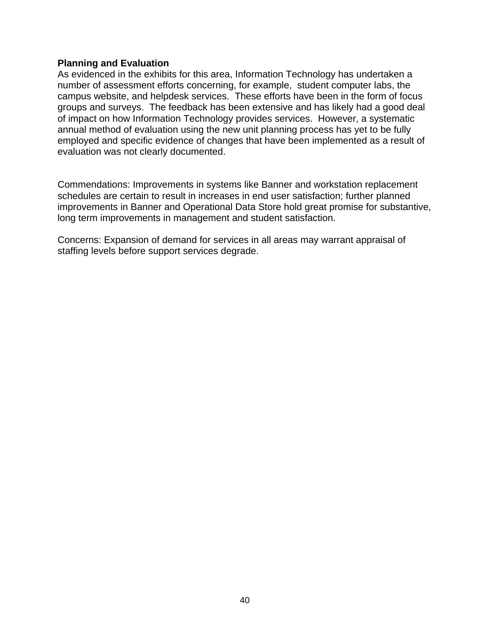#### **Planning and Evaluation**

As evidenced in the exhibits for this area, Information Technology has undertaken a number of assessment efforts concerning, for example, student computer labs, the campus website, and helpdesk services. These efforts have been in the form of focus groups and surveys. The feedback has been extensive and has likely had a good deal of impact on how Information Technology provides services. However, a systematic annual method of evaluation using the new unit planning process has yet to be fully employed and specific evidence of changes that have been implemented as a result of evaluation was not clearly documented.

Commendations: Improvements in systems like Banner and workstation replacement schedules are certain to result in increases in end user satisfaction; further planned improvements in Banner and Operational Data Store hold great promise for substantive, long term improvements in management and student satisfaction.

Concerns: Expansion of demand for services in all areas may warrant appraisal of staffing levels before support services degrade.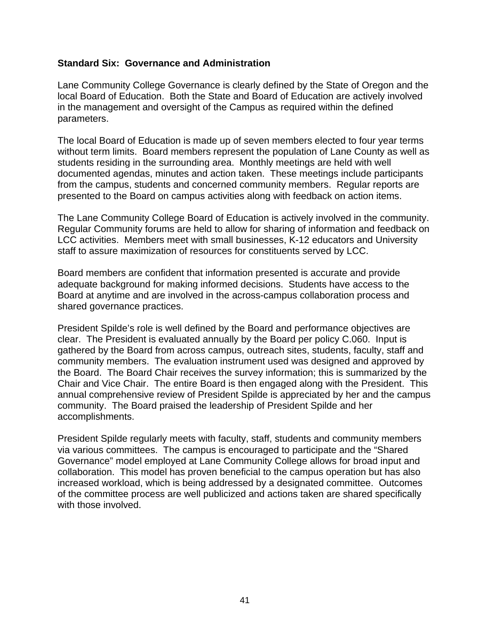#### **Standard Six: Governance and Administration**

Lane Community College Governance is clearly defined by the State of Oregon and the local Board of Education. Both the State and Board of Education are actively involved in the management and oversight of the Campus as required within the defined parameters.

The local Board of Education is made up of seven members elected to four year terms without term limits. Board members represent the population of Lane County as well as students residing in the surrounding area. Monthly meetings are held with well documented agendas, minutes and action taken. These meetings include participants from the campus, students and concerned community members. Regular reports are presented to the Board on campus activities along with feedback on action items.

The Lane Community College Board of Education is actively involved in the community. Regular Community forums are held to allow for sharing of information and feedback on LCC activities. Members meet with small businesses, K-12 educators and University staff to assure maximization of resources for constituents served by LCC.

Board members are confident that information presented is accurate and provide adequate background for making informed decisions. Students have access to the Board at anytime and are involved in the across-campus collaboration process and shared governance practices.

President Spilde's role is well defined by the Board and performance objectives are clear. The President is evaluated annually by the Board per policy C.060. Input is gathered by the Board from across campus, outreach sites, students, faculty, staff and community members. The evaluation instrument used was designed and approved by the Board. The Board Chair receives the survey information; this is summarized by the Chair and Vice Chair. The entire Board is then engaged along with the President. This annual comprehensive review of President Spilde is appreciated by her and the campus community. The Board praised the leadership of President Spilde and her accomplishments.

President Spilde regularly meets with faculty, staff, students and community members via various committees. The campus is encouraged to participate and the "Shared Governance" model employed at Lane Community College allows for broad input and collaboration. This model has proven beneficial to the campus operation but has also increased workload, which is being addressed by a designated committee. Outcomes of the committee process are well publicized and actions taken are shared specifically with those involved.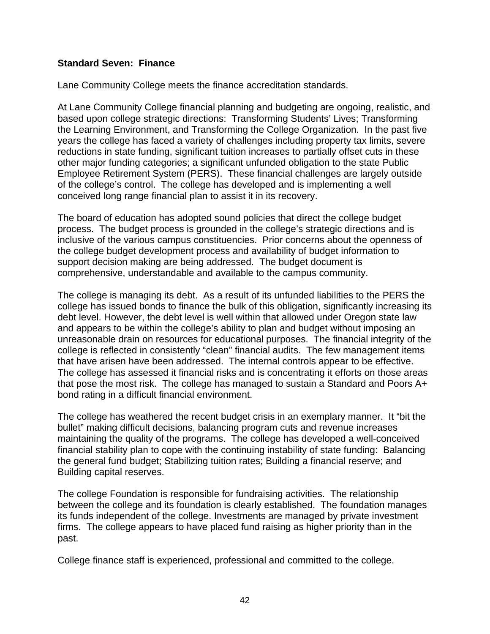## **Standard Seven: Finance**

Lane Community College meets the finance accreditation standards.

At Lane Community College financial planning and budgeting are ongoing, realistic, and based upon college strategic directions: Transforming Students' Lives; Transforming the Learning Environment, and Transforming the College Organization. In the past five years the college has faced a variety of challenges including property tax limits, severe reductions in state funding, significant tuition increases to partially offset cuts in these other major funding categories; a significant unfunded obligation to the state Public Employee Retirement System (PERS). These financial challenges are largely outside of the college's control. The college has developed and is implementing a well conceived long range financial plan to assist it in its recovery.

The board of education has adopted sound policies that direct the college budget process. The budget process is grounded in the college's strategic directions and is inclusive of the various campus constituencies. Prior concerns about the openness of the college budget development process and availability of budget information to support decision making are being addressed. The budget document is comprehensive, understandable and available to the campus community.

The college is managing its debt. As a result of its unfunded liabilities to the PERS the college has issued bonds to finance the bulk of this obligation, significantly increasing its debt level. However, the debt level is well within that allowed under Oregon state law and appears to be within the college's ability to plan and budget without imposing an unreasonable drain on resources for educational purposes. The financial integrity of the college is reflected in consistently "clean" financial audits. The few management items that have arisen have been addressed. The internal controls appear to be effective. The college has assessed it financial risks and is concentrating it efforts on those areas that pose the most risk. The college has managed to sustain a Standard and Poors A+ bond rating in a difficult financial environment.

The college has weathered the recent budget crisis in an exemplary manner. It "bit the bullet" making difficult decisions, balancing program cuts and revenue increases maintaining the quality of the programs. The college has developed a well-conceived financial stability plan to cope with the continuing instability of state funding: Balancing the general fund budget; Stabilizing tuition rates; Building a financial reserve; and Building capital reserves.

The college Foundation is responsible for fundraising activities. The relationship between the college and its foundation is clearly established. The foundation manages its funds independent of the college. Investments are managed by private investment firms. The college appears to have placed fund raising as higher priority than in the past.

College finance staff is experienced, professional and committed to the college.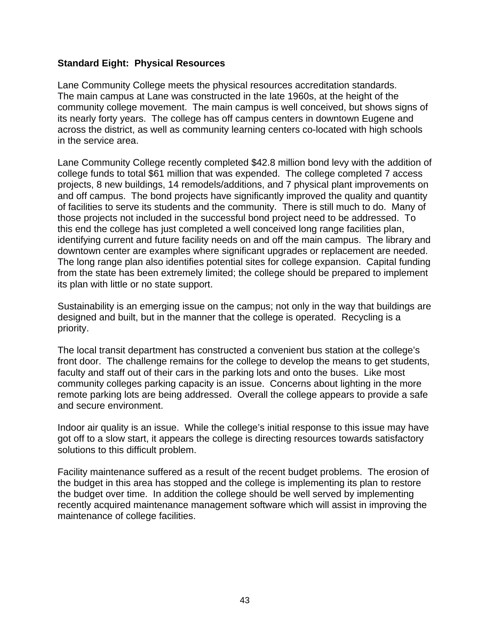## **Standard Eight: Physical Resources**

Lane Community College meets the physical resources accreditation standards. The main campus at Lane was constructed in the late 1960s, at the height of the community college movement. The main campus is well conceived, but shows signs of its nearly forty years. The college has off campus centers in downtown Eugene and across the district, as well as community learning centers co-located with high schools in the service area.

Lane Community College recently completed \$42.8 million bond levy with the addition of college funds to total \$61 million that was expended. The college completed 7 access projects, 8 new buildings, 14 remodels/additions, and 7 physical plant improvements on and off campus. The bond projects have significantly improved the quality and quantity of facilities to serve its students and the community. There is still much to do. Many of those projects not included in the successful bond project need to be addressed. To this end the college has just completed a well conceived long range facilities plan, identifying current and future facility needs on and off the main campus. The library and downtown center are examples where significant upgrades or replacement are needed. The long range plan also identifies potential sites for college expansion. Capital funding from the state has been extremely limited; the college should be prepared to implement its plan with little or no state support.

Sustainability is an emerging issue on the campus; not only in the way that buildings are designed and built, but in the manner that the college is operated. Recycling is a priority.

The local transit department has constructed a convenient bus station at the college's front door. The challenge remains for the college to develop the means to get students, faculty and staff out of their cars in the parking lots and onto the buses. Like most community colleges parking capacity is an issue. Concerns about lighting in the more remote parking lots are being addressed. Overall the college appears to provide a safe and secure environment.

Indoor air quality is an issue. While the college's initial response to this issue may have got off to a slow start, it appears the college is directing resources towards satisfactory solutions to this difficult problem.

Facility maintenance suffered as a result of the recent budget problems. The erosion of the budget in this area has stopped and the college is implementing its plan to restore the budget over time. In addition the college should be well served by implementing recently acquired maintenance management software which will assist in improving the maintenance of college facilities.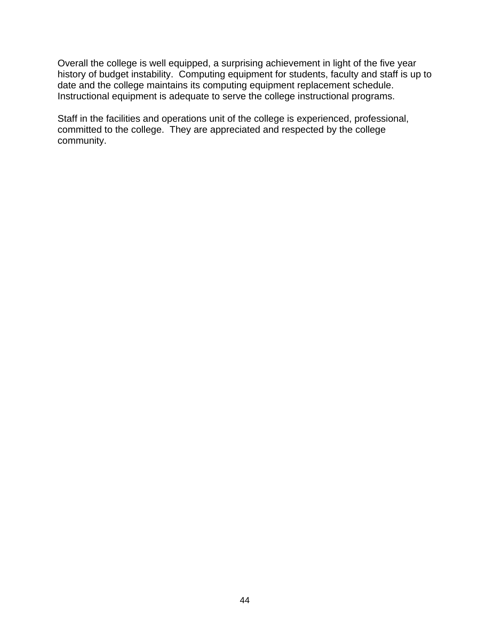Overall the college is well equipped, a surprising achievement in light of the five year history of budget instability. Computing equipment for students, faculty and staff is up to date and the college maintains its computing equipment replacement schedule. Instructional equipment is adequate to serve the college instructional programs.

Staff in the facilities and operations unit of the college is experienced, professional, committed to the college. They are appreciated and respected by the college community.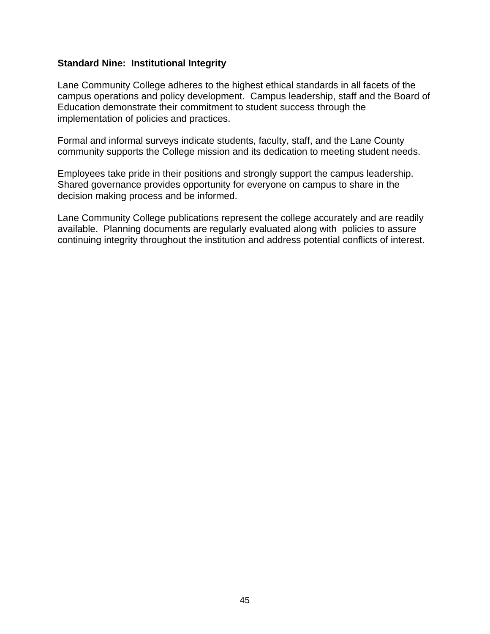#### **Standard Nine: Institutional Integrity**

Lane Community College adheres to the highest ethical standards in all facets of the campus operations and policy development. Campus leadership, staff and the Board of Education demonstrate their commitment to student success through the implementation of policies and practices.

Formal and informal surveys indicate students, faculty, staff, and the Lane County community supports the College mission and its dedication to meeting student needs.

Employees take pride in their positions and strongly support the campus leadership. Shared governance provides opportunity for everyone on campus to share in the decision making process and be informed.

Lane Community College publications represent the college accurately and are readily available. Planning documents are regularly evaluated along with policies to assure continuing integrity throughout the institution and address potential conflicts of interest.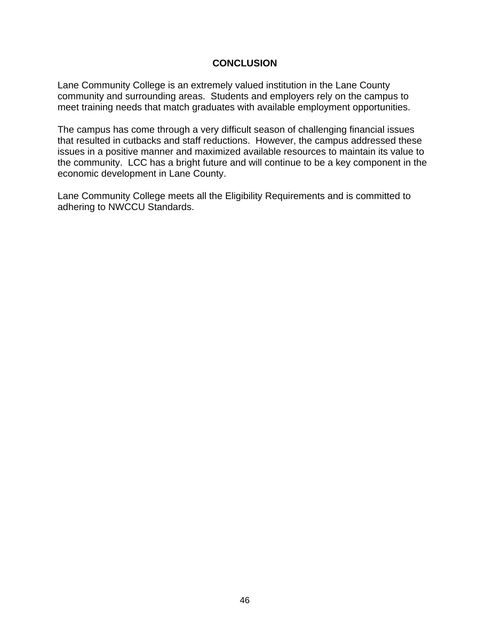## **CONCLUSION**

Lane Community College is an extremely valued institution in the Lane County community and surrounding areas. Students and employers rely on the campus to meet training needs that match graduates with available employment opportunities.

The campus has come through a very difficult season of challenging financial issues that resulted in cutbacks and staff reductions. However, the campus addressed these issues in a positive manner and maximized available resources to maintain its value to the community. LCC has a bright future and will continue to be a key component in the economic development in Lane County.

Lane Community College meets all the Eligibility Requirements and is committed to adhering to NWCCU Standards.